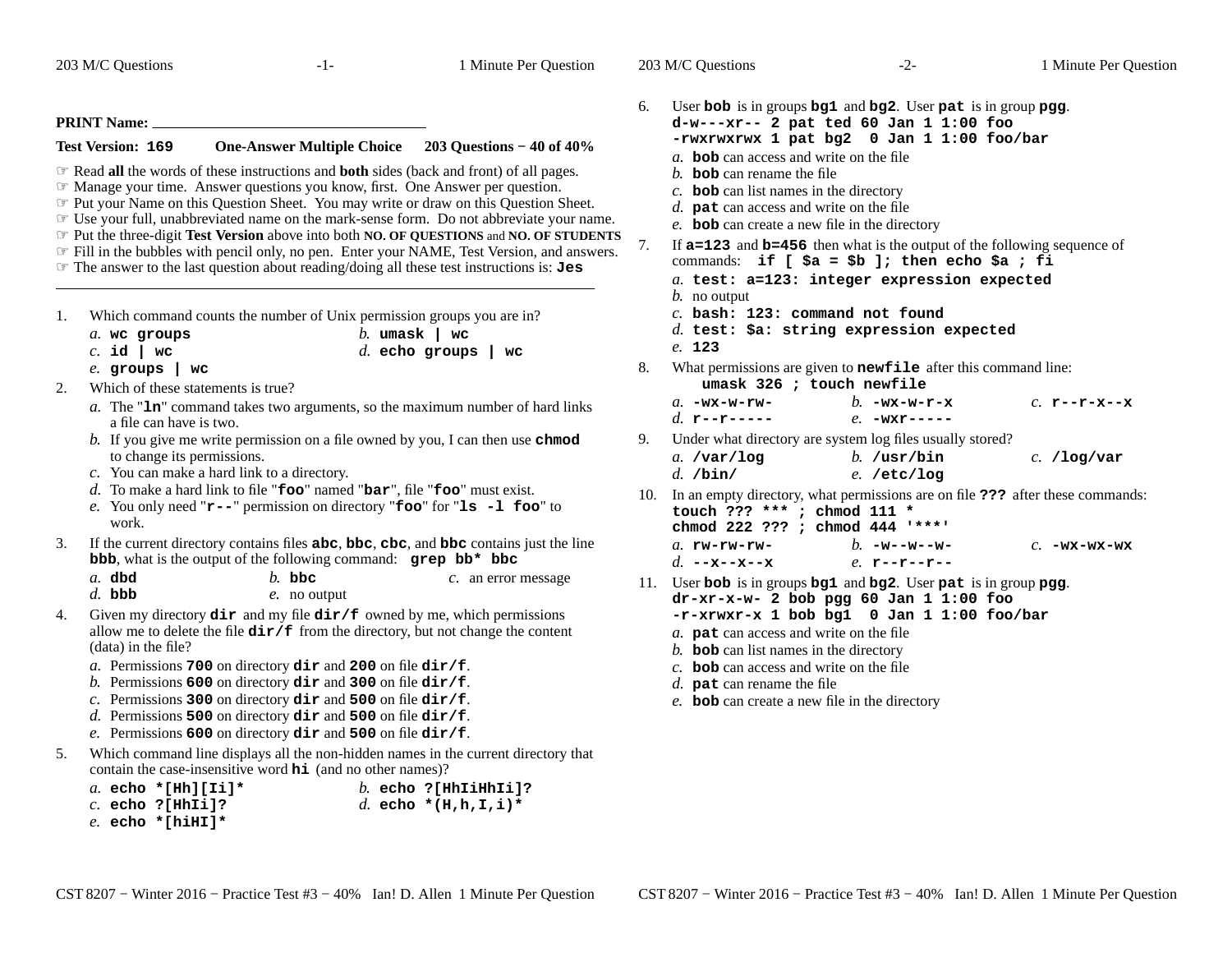|          | 203 M/C Questions                                                                      | $-1-$                                                                                                                                                                                                                                                                                                                                                                                                                                                                                                                                                                                                                                                                                                                                                     | 1 Minute Per Question                        |          | 203 M/C Questions                                                                                                                                                                                                                   | $-2-$                                                                                                                                                                                                                                                                                                                               | 1 Minute Per Question |
|----------|----------------------------------------------------------------------------------------|-----------------------------------------------------------------------------------------------------------------------------------------------------------------------------------------------------------------------------------------------------------------------------------------------------------------------------------------------------------------------------------------------------------------------------------------------------------------------------------------------------------------------------------------------------------------------------------------------------------------------------------------------------------------------------------------------------------------------------------------------------------|----------------------------------------------|----------|-------------------------------------------------------------------------------------------------------------------------------------------------------------------------------------------------------------------------------------|-------------------------------------------------------------------------------------------------------------------------------------------------------------------------------------------------------------------------------------------------------------------------------------------------------------------------------------|-----------------------|
|          | <b>PRINT Name:</b><br><b>Test Version: 169</b>                                         | One-Answer Multiple Choice 203 Questions - 40 of 40%<br>$\mathcal F$ Read all the words of these instructions and <b>both</b> sides (back and front) of all pages.<br><b>Example 20 Start</b> Manage your time. Answer questions you know, first. One Answer per question.<br>The Put your Name on this Question Sheet. You may write or draw on this Question Sheet.<br>The your full, unabbreviated name on the mark-sense form. Do not abbreviate your name.<br>The three-digit Test Version above into both NO. OF QUESTIONS and NO. OF STUDENTS<br>Fill in the bubbles with pencil only, no pen. Enter your NAME, Test Version, and answers.<br>$\mathcal F$ The answer to the last question about reading/doing all these test instructions is: Jes |                                              | б.<br>7. | a. <b>bob</b> can access and write on the file<br>b. bob can rename the file<br>$c$ . bob can list names in the directory<br>d. <b>pat</b> can access and write on the file<br>e. <b>bob</b> can create a new file in the directory | User bob is in groups bg1 and bg2. User pat is in group pgg.<br>d-w---xr-- 2 pat ted 60 Jan 1 1:00 foo<br>-rwxrwxrwx 1 pat bg2 0 Jan 1 1:00 foo/bar<br>If $a=123$ and $b=456$ then what is the output of the following sequence of<br>commands: if [ \$a = \$b ]; then echo \$a ; fi<br>a. test: a=123: integer expression expected |                       |
| 1.<br>2. | a. wc groups<br>$c.$ id   wc<br>$e.$ groups   wc<br>Which of these statements is true? | Which command counts the number of Unix permission groups you are in?<br>$a$ . The " $\ln$ " command takes two arguments, so the maximum number of hard links                                                                                                                                                                                                                                                                                                                                                                                                                                                                                                                                                                                             | b. umask $ $ wc<br>$d.$ echo groups<br>l wc  | 8.       | b. no output<br>$c.$ bash: 123: command not found<br>e. 123<br>$a. -wx-w-rw-$                                                                                                                                                       | $d.$ test: \$a: string expression expected<br>What permissions are given to newfile after this command line:<br>umask 326 ; touch newfile<br>b. $-wx-w-r-x$                                                                                                                                                                         | $c.$ r--r-x--x        |
|          | a file can have is two.<br>to change its permissions.<br>work.                         | b. If you give me write permission on a file owned by you, I can then use $chmod$<br>c. You can make a hard link to a directory.<br>d. To make a hard link to file " $\textbf{foo}$ " named " $\textbf{bar}$ ", file " $\textbf{foo}$ " must exist.<br>e. You only need " $r$ --" permission on directory "foo" for " $ls$ -1 foo" to                                                                                                                                                                                                                                                                                                                                                                                                                     |                                              | 9.       | d. $r$ --r-----<br>a. / var / log<br>$d.$ /bin/<br>touch ??? ***; chmod 111 *<br>chmod 222 ??? ; chmod 444 '***'                                                                                                                    | $e. -$ wxr - - - - -<br>Under what directory are system log files usually stored?<br>$b.$ /usr/bin<br>$e.$ /etc/log<br>10. In an empty directory, what permissions are on file ??? after these commands:                                                                                                                            | $c.$ /log/var         |
| 3.       | $a.$ dbd<br>$d.$ bbb                                                                   | If the current directory contains files abc, bbc, cbc, and bbc contains just the line<br>bbb, what is the output of the following command: grep bb* bbc<br>$b.$ bbc<br>$e$ . no output                                                                                                                                                                                                                                                                                                                                                                                                                                                                                                                                                                    | c. an error message                          |          | $a.$ $rw$ - $rw$ - $rw$ -<br>d. $-$ -x--x--x                                                                                                                                                                                        | $b. -w--w--w-$<br>e. $r - -r - -r - -$<br>11. User bob is in groups bg1 and bg2. User pat is in group pgg.<br>$dr - xr - x - w - 2$ bob pgg 60 Jan 1 1:00 foo                                                                                                                                                                       | $C. -$ wx-wx-wx       |
| 4.       | (data) in the file?                                                                    | Given my directory $\text{dir}$ and my file $\text{dir}/f$ owned by me, which permissions<br>allow me to delete the file $\text{dir}/\text{f}$ from the directory, but not change the content<br>a. Permissions 700 on directory dir and 200 on file dir/f.<br>b. Permissions 600 on directory $\text{dir}$ and 300 on file $\text{dir}/f$ .<br>c. Permissions 300 on directory $\text{dir}$ and 500 on file $\text{dir}/f$ .<br>d. Permissions 500 on directory $\text{dir}$ and 500 on file $\text{dir}/f$ .<br>e. Permissions 600 on directory $\text{dir}$ and 500 on file $\text{dir}/f$ .                                                                                                                                                           |                                              |          | a. pat can access and write on the file<br>b. bob can list names in the directory<br>$c$ . bob can access and write on the file<br>d. $pat can rename the file$<br>e. bob can create a new file in the directory                    | $-r$ -xrwxr-x 1 bob bg1 0 Jan 1 1:00 foo/bar                                                                                                                                                                                                                                                                                        |                       |
| 5.       | a. echo *[Hh][Ii]*<br>$c.$ echo ?[HhIi]?<br>$e.$ echo *[hiHI]*                         | Which command line displays all the non-hidden names in the current directory that<br>contain the case-insensitive word <b>hi</b> (and no other names)?                                                                                                                                                                                                                                                                                                                                                                                                                                                                                                                                                                                                   | b. echo ? [HhIiHhIi]?<br>d. echo *(H,h,I,i)* |          |                                                                                                                                                                                                                                     |                                                                                                                                                                                                                                                                                                                                     |                       |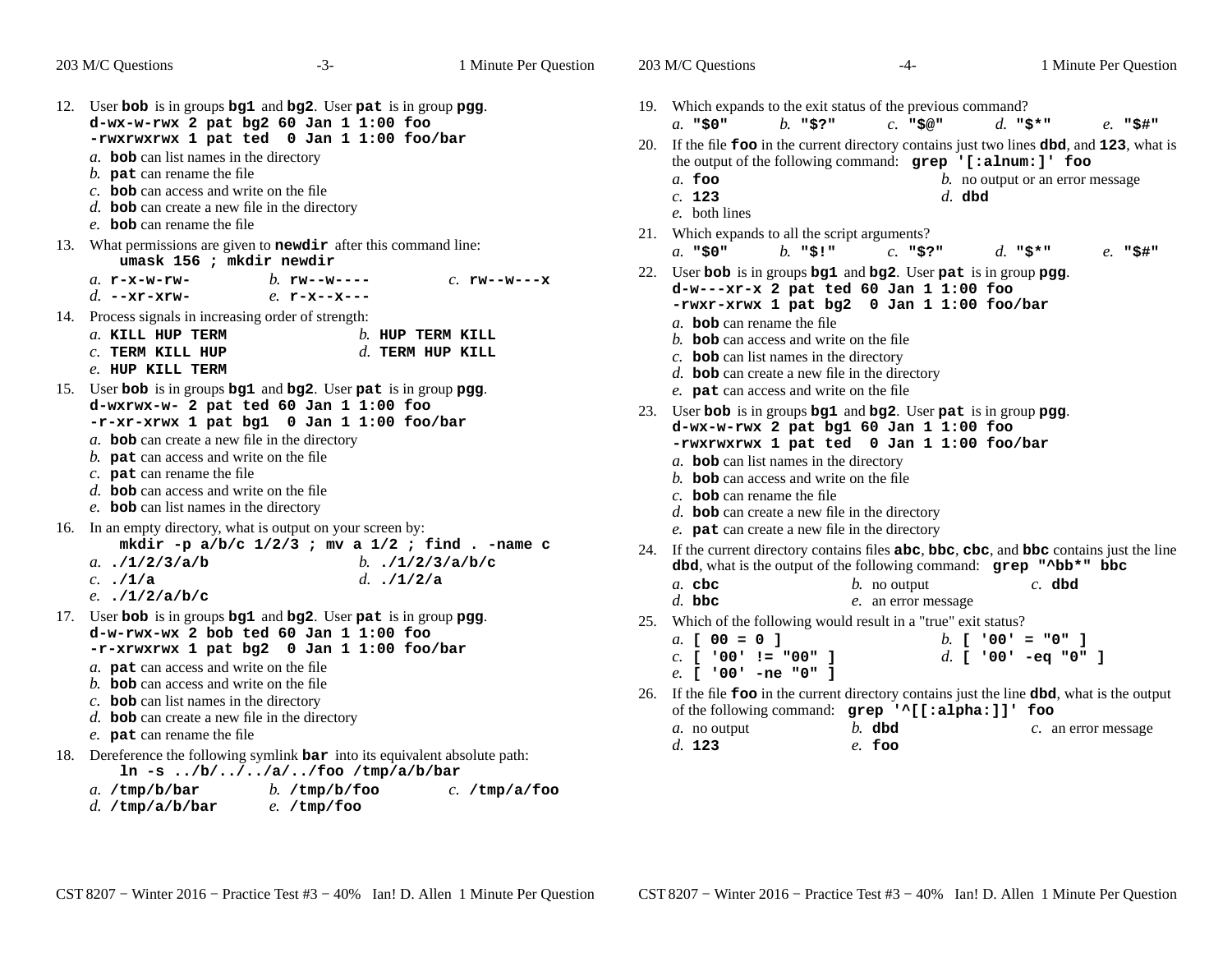| 203 M/C Questions                                                                                                                                                                                                                                                                                                                                                                                                                                                                                                                                                                                                                          | $-3-$                                       | 1 Minute Per Question                                          |     | 203 M/C Questions                                                                                                                                                                                                                                                                                                                                                                                                                                                                                                                                                                                                                                                                                                                                                      | $-4-$                                       |                                                                        | 1 Minute Per Question |
|--------------------------------------------------------------------------------------------------------------------------------------------------------------------------------------------------------------------------------------------------------------------------------------------------------------------------------------------------------------------------------------------------------------------------------------------------------------------------------------------------------------------------------------------------------------------------------------------------------------------------------------------|---------------------------------------------|----------------------------------------------------------------|-----|------------------------------------------------------------------------------------------------------------------------------------------------------------------------------------------------------------------------------------------------------------------------------------------------------------------------------------------------------------------------------------------------------------------------------------------------------------------------------------------------------------------------------------------------------------------------------------------------------------------------------------------------------------------------------------------------------------------------------------------------------------------------|---------------------------------------------|------------------------------------------------------------------------|-----------------------|
| 12. User bob is in groups bg1 and bg2. User pat is in group pgg.<br>$d-wx-w-rwx$ 2 pat bg2 60 Jan 1 1:00 foo<br>-rwxrwxrwx 1 pat ted 0 Jan 1 1:00 foo/bar<br>a. bob can list names in the directory<br>b. $pat$ can rename the file<br>$c$ . bob can access and write on the file<br>$d.$ bob can create a new file in the directory<br>e. bob can rename the file                                                                                                                                                                                                                                                                         |                                             |                                                                |     | 19. Which expands to the exit status of the previous command?<br>$a.$ "\$0"<br>$b.$ "\$?"<br>20. If the file foo in the current directory contains just two lines dbd, and 123, what is<br>the output of the following command: grep '[:alnum:]' foo<br>$a.$ foo<br>c. 123<br>e. both lines                                                                                                                                                                                                                                                                                                                                                                                                                                                                            | $c.$ "S@"                                   | d. $\mathbf{u}$ s*"<br>$b$ . no output or an error message<br>$d.$ dbd | $e.$ "\$#"            |
| 13. What permissions are given to <b>newdir</b> after this command line:                                                                                                                                                                                                                                                                                                                                                                                                                                                                                                                                                                   |                                             |                                                                | 21. | Which expands to all the script arguments?<br>a. "\$0"<br>$b.$ "\$!"                                                                                                                                                                                                                                                                                                                                                                                                                                                                                                                                                                                                                                                                                                   | $c.$ "\$?"                                  | d. "\$*"                                                               | $e.$ "\$#"            |
| umask 156 ; mkdir newdir<br>$a.$ r-x-w-rw-<br>$d.$ --xr-xrw-<br>14. Process signals in increasing order of strength:<br>a. KILL HUP TERM<br>$c$ . TERM KILL HUP<br>e. HUP KILL TERM<br>15. User bob is in groups bg1 and bg2. User pat is in group pgg.<br>d-wxrwx-w- 2 pat ted 60 Jan 1 1:00 foo<br>-r-xr-xrwx 1 pat bg1 0 Jan 1 1:00 foo/bar<br>a. bob can create a new file in the directory<br>b. $\mathbf{pat}$ can access and write on the file<br>c. $pat$ can rename the file<br>d. bob can access and write on the file<br>e. bob can list names in the directory<br>16. In an empty directory, what is output on your screen by: | <i>b.</i> $rw = -w = - -$<br>$e.$ r-x--x--- | $c.$ $rw--w---x$<br>$b$ . HUP TERM KILL<br>$d$ . TERM HUP KILL |     | 22. User bob is in groups bg1 and bg2. User pat is in group pgg.<br>$d-w--xr-x$ 2 pat ted 60 Jan 1 1:00 foo<br>-rwxr-xrwx 1 pat bg2 0 Jan 1 1:00 foo/bar<br>a. bob can rename the file<br>b. bob can access and write on the file<br>$c$ . bob can list names in the directory<br>$d.$ bob can create a new file in the directory<br>e. pat can access and write on the file<br>23. User bob is in groups bg1 and bg2. User pat is in group pgg.<br>$d-wx-w-rwx$ 2 pat bg1 60 Jan 1 1:00 foo<br>-rwxrwxrwx 1 pat ted 0 Jan 1 1:00 foo/bar<br>a. bob can list names in the directory<br>$b$ . bob can access and write on the file<br>$c$ . bob can rename the file<br>$d.$ bob can create a new file in the directory<br>e. pat can create a new file in the directory |                                             |                                                                        |                       |
| mkdir -p $a/b/c$ 1/2/3; mv a 1/2; find. -name c<br>a. $(1/2/3/a/b)$<br>$c.$ ./1/a<br>e. $1/2/a/b/c$                                                                                                                                                                                                                                                                                                                                                                                                                                                                                                                                        | d. $.1/1/2/a$                               | $b.$ ./1/2/3/a/b/c                                             |     | 24. If the current directory contains files abc, bbc, cbc, and bbc contains just the line<br>dbd, what is the output of the following command: grep "^bb*" bbc<br>a. cbc<br>$d.$ bbc                                                                                                                                                                                                                                                                                                                                                                                                                                                                                                                                                                                   | <i>b</i> . no output<br>e. an error message | $c.$ dbd                                                               |                       |
| 17. User bob is in groups bg1 and bg2. User pat is in group pgg.<br>d-w-rwx-wx 2 bob ted 60 Jan 1 1:00 foo<br>-r-xrwxrwx 1 pat bg2 0 Jan 1 1:00 foo/bar<br>a. <b>pat</b> can access and write on the file<br>b. <b>bob</b> can access and write on the file                                                                                                                                                                                                                                                                                                                                                                                |                                             |                                                                |     | 25. Which of the following would result in a "true" exit status?<br>a. $[00 = 0]$<br>$C.$ [ '00' != "00" ]<br>$e.$ [ '00' -ne "0" ]                                                                                                                                                                                                                                                                                                                                                                                                                                                                                                                                                                                                                                    |                                             | $b.$ [ '00' = "0" ]<br>d. [ $'00'$ -eq $"0"$ ]                         |                       |
| $c$ . bob can list names in the directory<br>$d.$ bob can create a new file in the directory<br>e. pat can rename the file                                                                                                                                                                                                                                                                                                                                                                                                                                                                                                                 |                                             |                                                                |     | 26. If the file foo in the current directory contains just the line dbd, what is the output<br>of the following command: grep ''[[:alpha:]]' foo<br>a. no output<br>d. 123                                                                                                                                                                                                                                                                                                                                                                                                                                                                                                                                                                                             | $b.$ dbd<br>$e$ . foo                       |                                                                        | c. an error message   |
| 18. Dereference the following symlink bar into its equivalent absolute path:<br>$\ln -s$ /b///a//foo /tmp/a/b/bar<br>$a.$ /tmp/b/bar<br>d. $/\text{tmp}/\text{a}/\text{b}/\text{bar}$                                                                                                                                                                                                                                                                                                                                                                                                                                                      | $b.$ /tmp/b/foo<br>$e.$ /tmp/foo            | $c.$ /tmp/a/foo                                                |     |                                                                                                                                                                                                                                                                                                                                                                                                                                                                                                                                                                                                                                                                                                                                                                        |                                             |                                                                        |                       |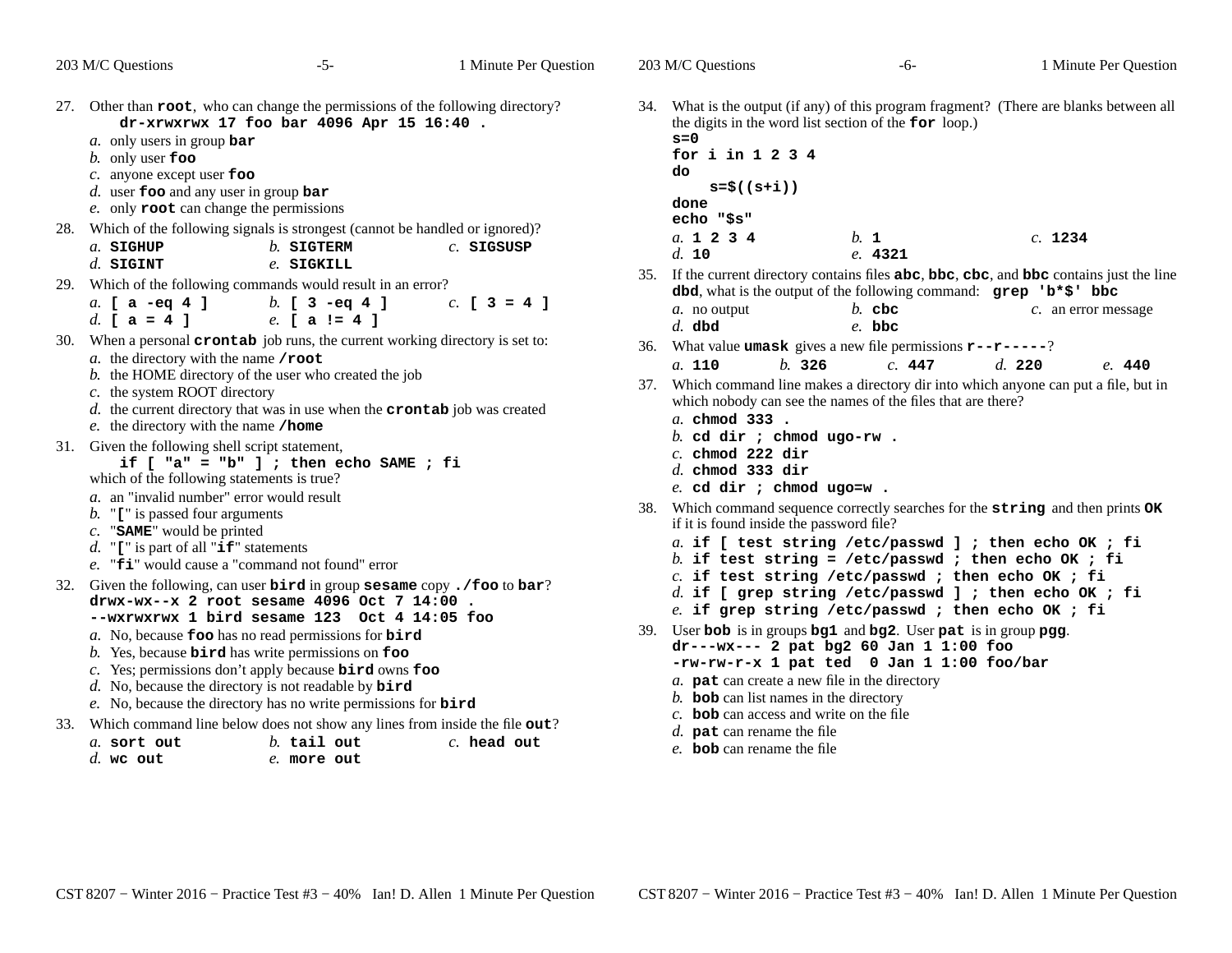|     | 203 M/C Questions                                                                                                                                                                                                                                                                                                                              | $-5-$                                                                                                                                                                                                                                                                                                                                                                                                                                                                                                              | 1 Minute Per Question                                                                                                                                                                                                                                                                                                                                                  |  | 203 M/C Questions                                                                                                                                                                                                                                                                                                                                                                                                             | -6-                      | 1 Minute Per Question                                                                                                                    |
|-----|------------------------------------------------------------------------------------------------------------------------------------------------------------------------------------------------------------------------------------------------------------------------------------------------------------------------------------------------|--------------------------------------------------------------------------------------------------------------------------------------------------------------------------------------------------------------------------------------------------------------------------------------------------------------------------------------------------------------------------------------------------------------------------------------------------------------------------------------------------------------------|------------------------------------------------------------------------------------------------------------------------------------------------------------------------------------------------------------------------------------------------------------------------------------------------------------------------------------------------------------------------|--|-------------------------------------------------------------------------------------------------------------------------------------------------------------------------------------------------------------------------------------------------------------------------------------------------------------------------------------------------------------------------------------------------------------------------------|--------------------------|------------------------------------------------------------------------------------------------------------------------------------------|
|     | a. only users in group bar<br>$b$ . only user $\texttt{foo}$<br>$c$ . anyone except user $f$ oo<br>$d.$ user foo and any user in group bar<br>e. only root can change the permissions                                                                                                                                                          | 27. Other than $\text{root}$ , who can change the permissions of the following directory?<br>dr-xrwxrwx 17 foo bar 4096 Apr 15 16:40.                                                                                                                                                                                                                                                                                                                                                                              |                                                                                                                                                                                                                                                                                                                                                                        |  | the digits in the word list section of the for loop.)<br>$s = 0$<br>for $i$ in 1 2 3 4<br>do<br>$s = \frac{s}{s}((s + i))$<br>done<br>echo "\$s"                                                                                                                                                                                                                                                                              |                          | 34. What is the output (if any) of this program fragment? (There are blanks between all                                                  |
|     | $a.$ SIGHUP<br>$d.$ SIGINT                                                                                                                                                                                                                                                                                                                     | 28. Which of the following signals is strongest (cannot be handled or ignored)?<br>$b.$ SIGTERM<br>e. SIGKILL                                                                                                                                                                                                                                                                                                                                                                                                      | $c.$ SIGSUSP                                                                                                                                                                                                                                                                                                                                                           |  | a. 1 2 3 4<br>d. 10                                                                                                                                                                                                                                                                                                                                                                                                           | $h_{\cdot}$ 1<br>e. 4321 | c. 1234                                                                                                                                  |
| 29. | a. $[a - e q 4]$<br>d. $a = 41$                                                                                                                                                                                                                                                                                                                | Which of the following commands would result in an error?<br>$b.$ [ 3 -eq 4 ]<br>e. $\lceil a \rceil = 4$ 1                                                                                                                                                                                                                                                                                                                                                                                                        | $c.$ [ 3 = 4 ]                                                                                                                                                                                                                                                                                                                                                         |  | dbd, what is the output of the following command: grep 'b*\$' bbc<br>$a$ . no output<br>$d.$ dbd                                                                                                                                                                                                                                                                                                                              | $b.$ cbc<br>$e$ . bbc    | 35. If the current directory contains files abc, bbc, cbc, and bbc contains just the line<br>$c$ . an error message                      |
|     | 30. When a personal crontab job runs, the current working directory is set to:<br>$a$ . the directory with the name /root<br>b. the HOME directory of the user who created the job<br>c. the system ROOT directory<br>$d.$ the current directory that was in use when the $c$ rontab job was created<br>e. the directory with the name /home   | 36.                                                                                                                                                                                                                                                                                                                                                                                                                                                                                                                | What value <b>umask</b> gives a new file permissions $\mathbf{r}$ - $\mathbf{r}$ - $\mathbf{r}$ - $\mathbf{r}$<br>a. 110<br>b. 326<br>c. 447<br>d. 220<br>e. 440<br>37. Which command line makes a directory dir into which anyone can put a file, but in<br>which nobody can see the names of the files that are there?<br>a. chmod 333.<br>b. cd dir ; chmod ugo-rw. |  |                                                                                                                                                                                                                                                                                                                                                                                                                               |                          |                                                                                                                                          |
|     | 31. Given the following shell script statement,<br>which of the following statements is true?<br>a. an "invalid number" error would result<br>$b$ . "[" is passed four arguments<br>$c.$ "SAME" would be printed<br>d. " $\mathbf{r}$ " is part of all " $\mathbf{if}$ " statements<br>e. " <b>fi'</b> would cause a "command not found" error | if $[$ "a" = "b" $]$ ; then echo SAME; fi                                                                                                                                                                                                                                                                                                                                                                                                                                                                          |                                                                                                                                                                                                                                                                                                                                                                        |  | $c.$ chmod 222 dir<br>$d.$ chmod 333 dir<br>$e.$ cd dir ; chmod ugo=w.<br>if it is found inside the password file?<br>b. if test string = /etc/passwd ; then echo OK ; fi                                                                                                                                                                                                                                                     |                          | 38. Which command sequence correctly searches for the string and then prints OK<br>a. if [ test string /etc/passwd ] ; then echo OK ; fi |
|     |                                                                                                                                                                                                                                                                                                                                                | 32. Given the following, can user bird in group sesame copy./footo bar?<br>$\text{drwx-wx--x}$ 2 root sesame 4096 Oct 7 14:00.<br>--wxrwxrwx 1 bird sesame 123 Oct 4 14:05 foo<br>$a$ . No, because foo has no read permissions for bird<br>$b$ . Yes, because <b>bird</b> has write permissions on $f$ oo<br>c. Yes; permissions don't apply because bird owns foo<br>$d.$ No, because the directory is not readable by $\vec{b} \cdot \vec{r}$<br>e. No, because the directory has no write permissions for bird |                                                                                                                                                                                                                                                                                                                                                                        |  | $c.$ if test string /etc/passwd ; then echo OK ; fi<br>e. if grep string /etc/passwd ; then echo OK ; fi<br>39. User bob is in groups bg1 and bg2. User pat is in group pgg.<br>$dr$ --- $wx$ --- 2 pat bg2 60 Jan 1 1:00 foo<br>-rw-rw-r-x 1 pat ted 0 Jan 1 1:00 foo/bar<br>$a$ . pat can create a new file in the directory<br>b. bob can list names in the directory<br>$c$ . <b>bob</b> can access and write on the file |                          | $d.$ if [ grep string /etc/passwd ] ; then echo OK ; fi                                                                                  |
|     | a. sort out<br>$d.$ we out                                                                                                                                                                                                                                                                                                                     | 33. Which command line below does not show any lines from inside the file out?<br>$b$ . tail out<br>e. more out                                                                                                                                                                                                                                                                                                                                                                                                    | $c.$ head out                                                                                                                                                                                                                                                                                                                                                          |  | $d.$ pat can rename the file<br>e. bob can rename the file                                                                                                                                                                                                                                                                                                                                                                    |                          |                                                                                                                                          |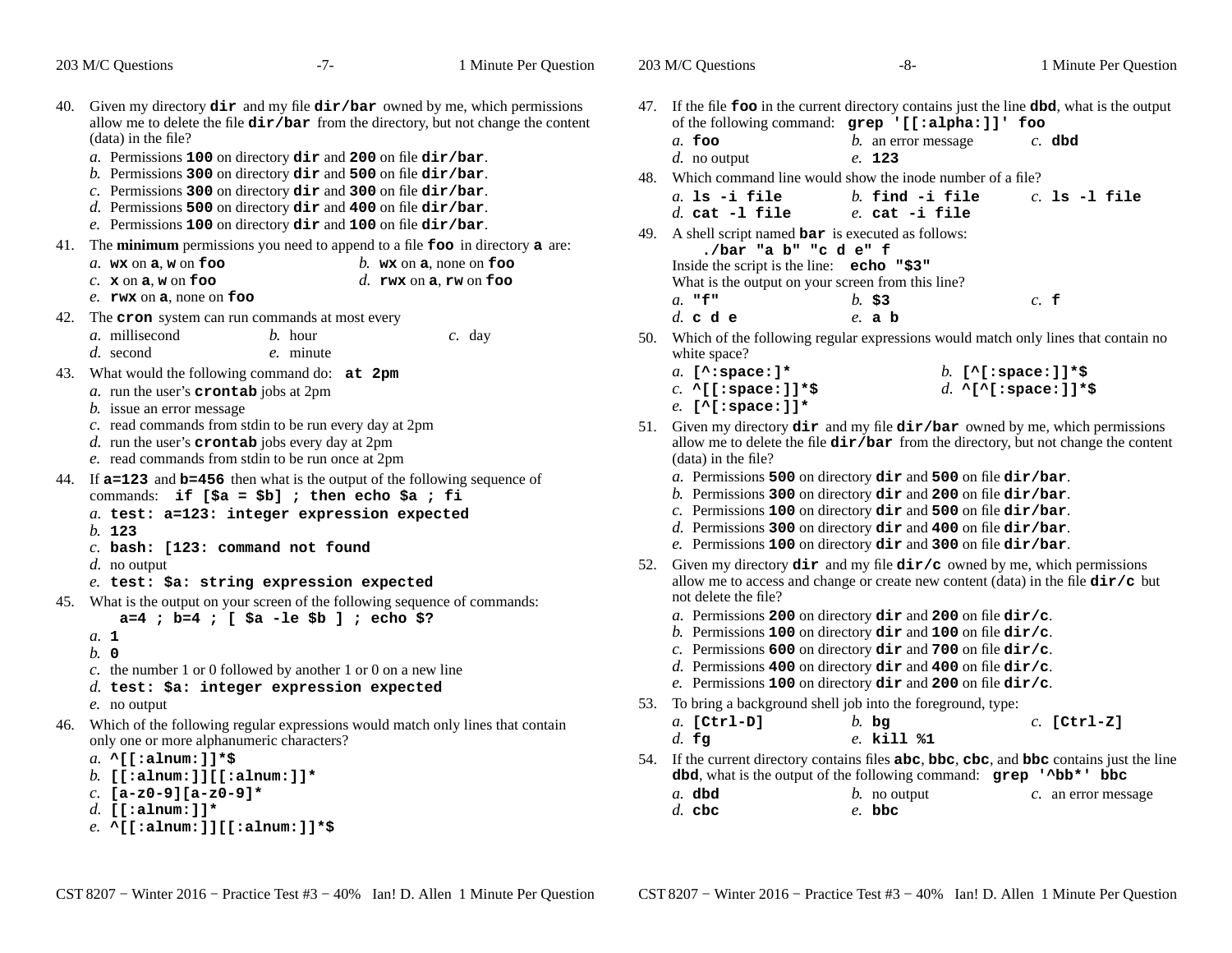|     | 203 M/C Questions                                                                                                                                  | $-7-$                                                                                                                                                                                                                                                                                                                                                                                 | 1 Minute Per Question                                                                                                                                                                                                                                 | 203 M/C Questions                                                                                                                                                                                                             | $-8-$                                                                                                                                                                                                                                                                                                                                                                                    | 1 Minute Per Question                                                                                                                                                                 |
|-----|----------------------------------------------------------------------------------------------------------------------------------------------------|---------------------------------------------------------------------------------------------------------------------------------------------------------------------------------------------------------------------------------------------------------------------------------------------------------------------------------------------------------------------------------------|-------------------------------------------------------------------------------------------------------------------------------------------------------------------------------------------------------------------------------------------------------|-------------------------------------------------------------------------------------------------------------------------------------------------------------------------------------------------------------------------------|------------------------------------------------------------------------------------------------------------------------------------------------------------------------------------------------------------------------------------------------------------------------------------------------------------------------------------------------------------------------------------------|---------------------------------------------------------------------------------------------------------------------------------------------------------------------------------------|
| 40. | $(data)$ in the file?                                                                                                                              | a. Permissions 100 on directory dir and 200 on file dir/bar.<br>b. Permissions 300 on directory $\text{dir}$ and 500 on file $\text{dir/bar}$ .<br>c. Permissions 300 on directory $\text{dir}$ and 300 on file $\text{dir/bar}$ .<br>d. Permissions 500 on directory $\text{dir}$ and 400 on file $\text{dir/bar}$ .<br>e. Permissions 100 on directory dir and 100 on file dir/bar. | Given my directory dir and my file dir/bar owned by me, which permissions<br>allow me to delete the file $dir/bar$ from the directory, but not change the content<br>41. The minimum permissions you need to append to a file foo in directory a are: | $a.$ foo<br>$d.$ no output<br>48. Which command line would show the inode number of a file?<br>$a$ . 1s $-i$ file<br>$d.$ cat -1 file<br>49. A shell script named <b>bar</b> is executed as follows:<br>./bar "a b" "c d e" f | of the following command: grep '[[:alpha:]]' foo<br>b. an error message<br>e. 123<br>$b.$ find $-i.$ file<br>$e.$ cat $-i$ file                                                                                                                                                                                                                                                          | 47. If the file foo in the current directory contains just the line dbd, what is the output<br>$c.$ dbd<br>$c.$ ls $-1$ file                                                          |
|     | $a.$ wx on $a, w$ on foo<br>$c.$ x on a, w on foo<br>e. $rwx$ on $a$ , none on foo                                                                 |                                                                                                                                                                                                                                                                                                                                                                                       | b. wx on $a$ , none on foo<br>d. rwx on a, rw on foo                                                                                                                                                                                                  | Inside the script is the line: $echo$ "\$3"<br>$a.$ "f"                                                                                                                                                                       | What is the output on your screen from this line?<br>$b.$ \$3                                                                                                                                                                                                                                                                                                                            | $c$ . $f$                                                                                                                                                                             |
|     | a. millisecond<br>$d.$ second                                                                                                                      | 42. The <b>cron</b> system can run commands at most every<br>$b.$ hour<br>e. minute                                                                                                                                                                                                                                                                                                   | $c.$ day                                                                                                                                                                                                                                              | d. c d e<br>white space?                                                                                                                                                                                                      | $e$ . a $b$                                                                                                                                                                                                                                                                                                                                                                              | 50. Which of the following regular expressions would match only lines that contain no                                                                                                 |
|     | a. run the user's crontab jobs at 2pm<br>b. issue an error message                                                                                 | 43. What would the following command do: at 2pm                                                                                                                                                                                                                                                                                                                                       |                                                                                                                                                                                                                                                       | a. [ $\land$ : space: ]*<br>$c. \land [\text{[:space:]}]$ *\$<br>$e.$ [^[:space:]]*                                                                                                                                           |                                                                                                                                                                                                                                                                                                                                                                                          | b. $[^{\wedge}$ [:space: ]] *\$<br>d. $\wedge$ [ $\wedge$ [:space:]]*\$                                                                                                               |
|     |                                                                                                                                                    | c. read commands from stdin to be run every day at 2pm<br>$d.$ run the user's <b>crontab</b> jobs every day at 2pm<br>e. read commands from stdin to be run once at 2pm                                                                                                                                                                                                               |                                                                                                                                                                                                                                                       | (data) in the file?                                                                                                                                                                                                           |                                                                                                                                                                                                                                                                                                                                                                                          | 51. Given my directory $\text{dir}$ and my file $\text{dir/bar}$ owned by me, which permissions<br>allow me to delete the file dir/bar from the directory, but not change the content |
|     | b. 123<br>$c.$ bash: [123: command not found                                                                                                       | 44. If <b>a=123</b> and <b>b=456</b> then what is the output of the following sequence of<br>commands: if [\$a = \$b] ; then echo \$a ; fi<br>a. test: a=123: integer expression expected                                                                                                                                                                                             |                                                                                                                                                                                                                                                       |                                                                                                                                                                                                                               | a. Permissions 500 on directory dir and 500 on file dir/bar.<br>b. Permissions 300 on directory $\text{dir}$ and 200 on file $\text{dir/bar}$ .<br>c. Permissions 100 on directory $\text{dir}$ and 500 on file $\text{dir/bar}$ .<br>$d$ . Permissions 300 on directory $\text{dir}$ and 400 on file $\text{dir/bar}$ .<br>e. Permissions 100 on directory dir and 300 on file dir/bar. |                                                                                                                                                                                       |
|     | $d.$ no output                                                                                                                                     | e. test: \$a: string expression expected                                                                                                                                                                                                                                                                                                                                              |                                                                                                                                                                                                                                                       |                                                                                                                                                                                                                               |                                                                                                                                                                                                                                                                                                                                                                                          | 52. Given my directory $\text{dir}$ and my file $\text{dir}/c$ owned by me, which permissions<br>allow me to access and change or create new content (data) in the file $dir/c$ but   |
|     | a. 1<br>$b. \circ$                                                                                                                                 | 45. What is the output on your screen of the following sequence of commands:<br>$a=4$ ; $b=4$ ; [\$a -le \$b ]; echo \$?<br>c. the number 1 or 0 followed by another 1 or 0 on a new line<br>$d.$ test: \$a: integer expression expected                                                                                                                                              |                                                                                                                                                                                                                                                       | not delete the file?                                                                                                                                                                                                          | a. Permissions 200 on directory dir and 200 on file dir/c.<br>b. Permissions 100 on directory $\text{dir}$ and 100 on file $\text{dir}/c$ .<br>c. Permissions 600 on directory $\text{dir}$ and 700 on file $\text{dir}/c$ .<br>d. Permissions 400 on directory $\text{dir}$ and 400 on file $\text{dir}/c$ .<br>e. Permissions 100 on directory dir and 200 on file dir/c.              |                                                                                                                                                                                       |
|     | e. no output                                                                                                                                       |                                                                                                                                                                                                                                                                                                                                                                                       |                                                                                                                                                                                                                                                       | 53. To bring a background shell job into the foreground, type:                                                                                                                                                                |                                                                                                                                                                                                                                                                                                                                                                                          |                                                                                                                                                                                       |
|     | only one or more alphanumeric characters?                                                                                                          |                                                                                                                                                                                                                                                                                                                                                                                       | 46. Which of the following regular expressions would match only lines that contain                                                                                                                                                                    | $a.$ [Ctrl-D]<br>$d.$ fg                                                                                                                                                                                                      | $b.$ bg<br>e. kill %1                                                                                                                                                                                                                                                                                                                                                                    | $c.$ [Ctrl-Z]                                                                                                                                                                         |
|     | a. $\wedge$ [[:alnum:]]*\$<br>b. [[:alnum:]][[:alnum:]]*<br>$c.$ [a-z0-9][a-z0-9]*<br>d. [[:alnum:]]*<br>$e. \land [[:{alnum:}]][[:{alnum:}])$ *\$ |                                                                                                                                                                                                                                                                                                                                                                                       |                                                                                                                                                                                                                                                       | $a.$ dbd<br>$d.$ cbc                                                                                                                                                                                                          | $b$ . no output<br>$e.$ bbc                                                                                                                                                                                                                                                                                                                                                              | 54. If the current directory contains files abc, bbc, cbc, and bbc contains just the line<br>dbd, what is the output of the following command: grep 'Abb*' bbc<br>c. an error message |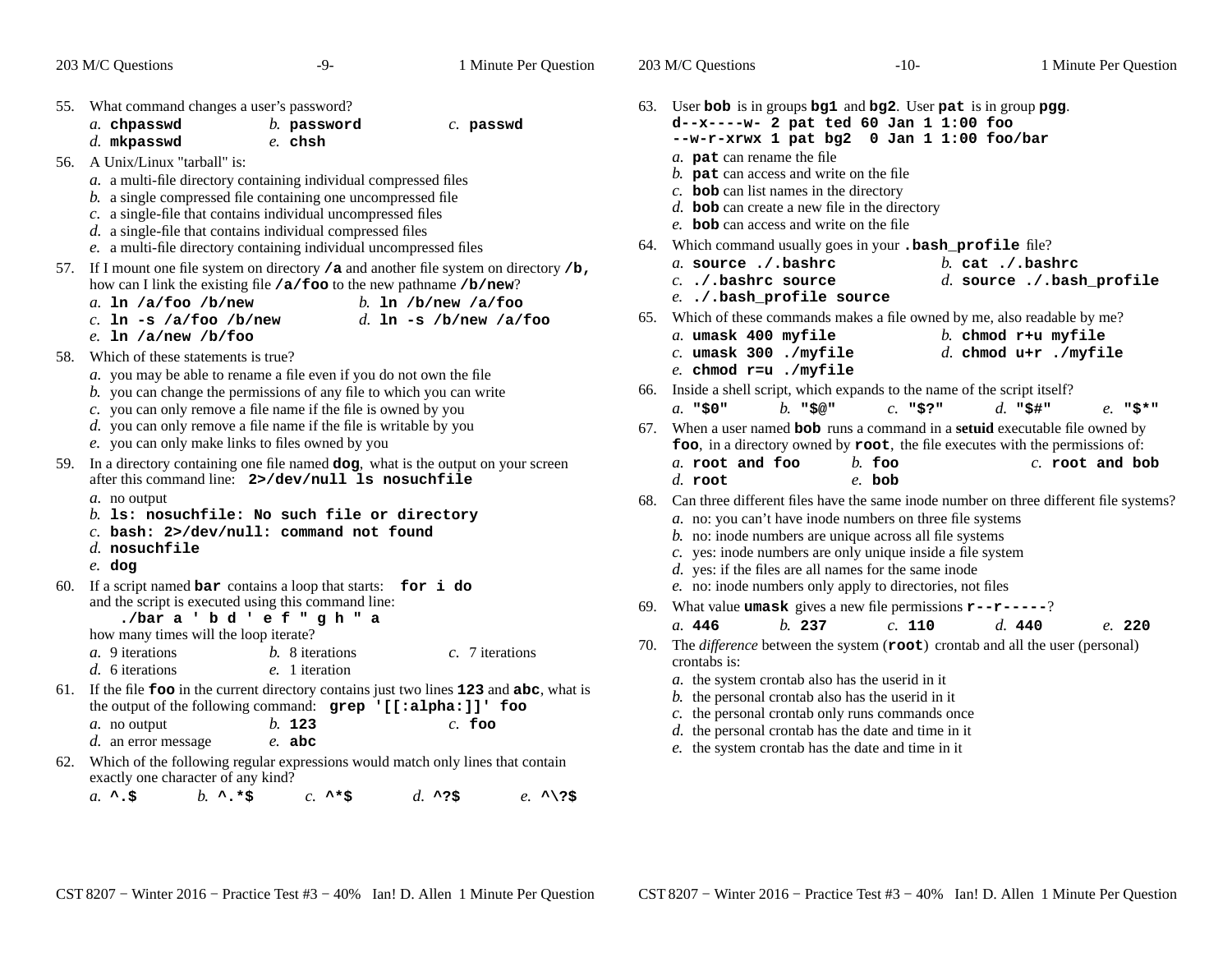|     | 203 M/C Questions                                                                                                                                                                                                                                                                                        | $-9-$                                                                                                                                                                                                                                                                                                                                  | 1 Minute Per Question                                         |            | 203 M/C Questions                                                                                                                                                                                                                                                                                                                                                                                                     | $-10-$                                                                                                                                                                                                       | 1 Minute Per Question                                                                                                                                                                                                  |  |  |
|-----|----------------------------------------------------------------------------------------------------------------------------------------------------------------------------------------------------------------------------------------------------------------------------------------------------------|----------------------------------------------------------------------------------------------------------------------------------------------------------------------------------------------------------------------------------------------------------------------------------------------------------------------------------------|---------------------------------------------------------------|------------|-----------------------------------------------------------------------------------------------------------------------------------------------------------------------------------------------------------------------------------------------------------------------------------------------------------------------------------------------------------------------------------------------------------------------|--------------------------------------------------------------------------------------------------------------------------------------------------------------------------------------------------------------|------------------------------------------------------------------------------------------------------------------------------------------------------------------------------------------------------------------------|--|--|
| 56. | 55. What command changes a user's password?<br>$a.$ chpasswd<br>$d.$ mkpasswd<br>A Unix/Linux "tarball" is:                                                                                                                                                                                              | $b.$ password<br>e. chsh                                                                                                                                                                                                                                                                                                               | $c.$ passwd                                                   |            | 63. User bob is in groups bg1 and bg2. User pat is in group pgg.<br>a. pat can rename the file                                                                                                                                                                                                                                                                                                                        | d--x----w- 2 pat ted 60 Jan 1 1:00 foo<br>--w-r-xrwx 1 pat bg2 0 Jan 1 1:00 foo/bar                                                                                                                          |                                                                                                                                                                                                                        |  |  |
|     |                                                                                                                                                                                                                                                                                                          | a. a multi-file directory containing individual compressed files<br>b. a single compressed file containing one uncompressed file<br>c. a single-file that contains individual uncompressed files<br>$d.$ a single-file that contains individual compressed files<br>e. a multi-file directory containing individual uncompressed files |                                                               |            | $b$ . pat can access and write on the file<br>$c$ . bob can list names in the directory<br>$d.$ bob can create a new file in the directory<br>e. <b>bob</b> can access and write on the file<br>64. Which command usually goes in your . bash_profile file?                                                                                                                                                           |                                                                                                                                                                                                              |                                                                                                                                                                                                                        |  |  |
|     | 57. If I mount one file system on directory $/a$ and another file system on directory $/b$ ,<br>how can I link the existing file /a/foo to the new pathname /b/new?<br>a. In $/a/foo/b/new$<br>b. In /b/new /a/foo<br>c. $\ln -s$ /a/foo /b/new<br>d. In $-s$ /b/new /a/foo<br>e. In $/a$ /new $/b$ /foo |                                                                                                                                                                                                                                                                                                                                        |                                                               | 65.        | a. source ./.bashrc<br>b. cat $\cdot$ /. bashrc<br>$c.$ ./.bashrc source<br>$d.$ source ./.bash_profile<br>e /.bash profile source<br>Which of these commands makes a file owned by me, also readable by me?<br>$b.$ chmod r+u myfile<br>a. umask 400 myfile                                                                                                                                                          |                                                                                                                                                                                                              |                                                                                                                                                                                                                        |  |  |
| 58. | Which of these statements is true?                                                                                                                                                                                                                                                                       | a. you may be able to rename a file even if you do not own the file<br>b. you can change the permissions of any file to which you can write<br>c. you can only remove a file name if the file is owned by you<br>d. you can only remove a file name if the file is writable by you<br>e. you can only make links to files owned by you |                                                               | 66.<br>67. | $c.$ umask 300 ./myfile<br>$e.$ chmod $r = u.$ /myfile<br>$a.$ "\$0"<br>$b.$ "\$@"                                                                                                                                                                                                                                                                                                                                    | Inside a shell script, which expands to the name of the script itself?<br>$c.$ "\$?"                                                                                                                         | d. chmod $u+r$ ./myfile<br>d. $\cdot$ s#"<br>"\$*"<br>e.<br>When a user named bob runs a command in a setuid executable file owned by<br>foo, in a directory owned by root, the file executes with the permissions of: |  |  |
|     | a. no output<br>$d.$ nosuchfile<br>$e.$ dog                                                                                                                                                                                                                                                              | 59. In a directory containing one file named dog, what is the output on your screen<br>after this command line: 2>/dev/null ls nosuchfile<br>$b.$ ls: nosuchfile: No such file or directory<br>$c.$ bash: $2$ >/dev/null: command not found                                                                                            |                                                               | 68.        | a root and foo<br>$d.$ root                                                                                                                                                                                                                                                                                                                                                                                           | $h$ . foo<br>$e$ . bob<br>a. no: you can't have inode numbers on three file systems<br>b. no: inode numbers are unique across all file systems<br>c. yes: inode numbers are only unique inside a file system | c. root and bob<br>Can three different files have the same inode number on three different file systems?                                                                                                               |  |  |
|     | how many times will the loop iterate?<br>a. 9 iterations<br>d. 6 iterations                                                                                                                                                                                                                              | 60. If a script named $bar$ contains a loop that starts: $for$ i do<br>and the script is executed using this command line:<br>./bara 'bd'ef"gh"a<br>b. 8 iterations<br>e. 1 iteration                                                                                                                                                  | $c.$ 7 iterations                                             |            | $d.$ yes: if the files are all names for the same inode<br>e. no: inode numbers only apply to directories, not files<br>What value <b>umask</b> gives a new file permissions $r$ - $r$ - $r$ - $-2$ ?<br>69.<br>h. 237<br>c. 110<br>a. 446<br>d. 440<br>The <i>difference</i> between the system (root) crontab and all the user (personal)<br>70.<br>crontabs is:<br>a. the system crontab also has the userid in it |                                                                                                                                                                                                              | e. 220                                                                                                                                                                                                                 |  |  |
|     | $a$ . no output<br>d. an error message                                                                                                                                                                                                                                                                   | 61. If the file foo in the current directory contains just two lines 123 and abc, what is<br>the output of the following command: grep '[[:alpha:]]' foo<br>b. 123<br>$e$ . abc                                                                                                                                                        | $c.$ foo                                                      |            | $b$ . the personal crontab also has the userid in it<br>e. the system crontab has the date and time in it                                                                                                                                                                                                                                                                                                             | c. the personal crontab only runs commands once<br>$d.$ the personal crontab has the date and time in it                                                                                                     |                                                                                                                                                                                                                        |  |  |
| 62. | exactly one character of any kind?<br>$a. \wedge .$ \$<br>$b. \ \cdot \cdot \cdot$ \$                                                                                                                                                                                                                    | Which of the following regular expressions would match only lines that contain<br>$c. \lambda$ *\$                                                                                                                                                                                                                                     | $d. \ \ \star \ \cdot \ \sharp$<br>$e. \ \ \ \ \ \ \ \ \ \ \$ |            |                                                                                                                                                                                                                                                                                                                                                                                                                       |                                                                                                                                                                                                              |                                                                                                                                                                                                                        |  |  |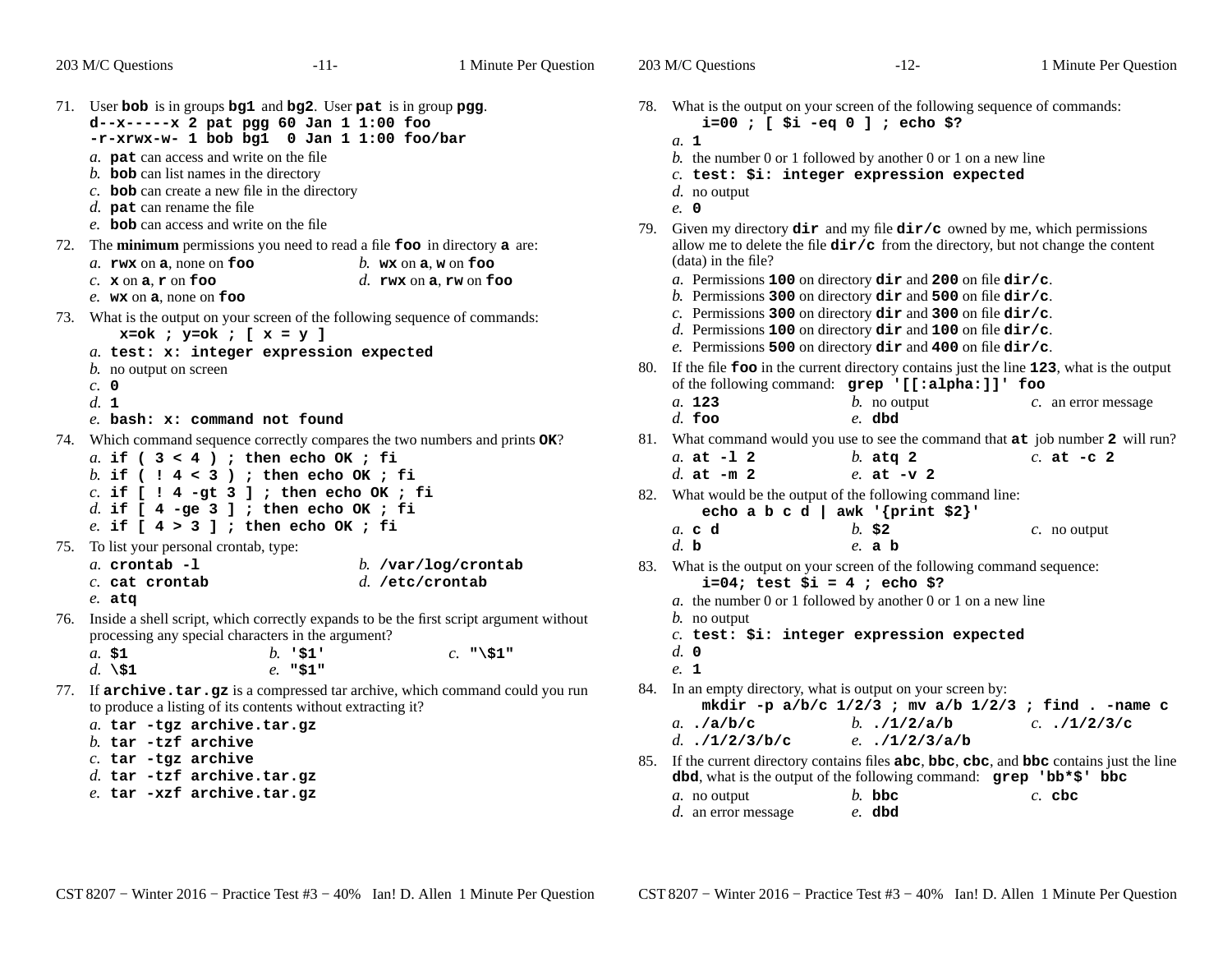| 203 M/C Questions                                                                                                                                                                                                                                                                                                                                                                               | $-11-$                         | 1 Minute Per Question                             | 203 M/C Questions                          | $-12-$                                                                                                                                                                                                                                       | 1 Minute Per Question                                                                                                                                                                |
|-------------------------------------------------------------------------------------------------------------------------------------------------------------------------------------------------------------------------------------------------------------------------------------------------------------------------------------------------------------------------------------------------|--------------------------------|---------------------------------------------------|--------------------------------------------|----------------------------------------------------------------------------------------------------------------------------------------------------------------------------------------------------------------------------------------------|--------------------------------------------------------------------------------------------------------------------------------------------------------------------------------------|
| 71. User bob is in groups bg1 and bg2. User pat is in group pgg.<br>d--x-----x 2 pat pgg 60 Jan 1 1:00 foo<br>$-r-rxw$ x-w- 1 bob bg1 0 Jan 1 1:00 foo/bar<br>a. <b>pat</b> can access and write on the file<br>$b$ . bob can list names in the directory<br>$c$ . bob can create a new file in the directory<br>$d.$ pat can rename the file<br>e. <b>bob</b> can access and write on the file |                                |                                                   | a. 1<br>$d.$ no output<br>e. 0             | 78. What is the output on your screen of the following sequence of commands:<br>$i = 00$ ; [ $5i -eq 0$ ]; echo \$?<br>b. the number 0 or 1 followed by another 0 or 1 on a new line<br>$c.$ test: \$i: integer expression expected          |                                                                                                                                                                                      |
| 72. The minimum permissions you need to read a file foo in directory a are:<br>a. $\mathbf{r}$ wx on a, none on foo<br>c. $x$ on $a, r$ on foo<br>e. $wx$ on $a$ , none on foo                                                                                                                                                                                                                  |                                | b. wx on $a$ , w on foo<br>d. rwx on a, rw on foo | $(data)$ in the file?                      | 79. Given my directory $\text{dir}$ and my file $\text{dir}/c$ owned by me, which permissions<br>a. Permissions 100 on directory dir and 200 on file dir/c.<br>b. Permissions 300 on directory $\text{dir}$ and 500 on file $\text{dir}/c$ . | allow me to delete the file $\text{dir}/c$ from the directory, but not change the content                                                                                            |
| 73. What is the output on your screen of the following sequence of commands:<br>$x = ok$ ; $y = ok$ ; $[x = y]$<br>a. test: x: integer expression expected                                                                                                                                                                                                                                      |                                |                                                   |                                            | c. Permissions 300 on directory $\text{dir}$ and 300 on file $\text{dir}/c$ .<br>d. Permissions 100 on directory $\text{dir}$ and 100 on file $\text{dir}/c$ .<br>e. Permissions 500 on directory dir and 400 on file dir/c.                 |                                                                                                                                                                                      |
| <i>b</i> . no output on screen<br>$c. \quad 0$<br>d. 1<br>e. bash: x: command not found                                                                                                                                                                                                                                                                                                         |                                |                                                   | a. 123<br>$d.$ foo                         | of the following command: grep '[[:alpha:]]' foo<br>$b$ . no output<br>$e$ . dbd                                                                                                                                                             | 80. If the file foo in the current directory contains just the line 123, what is the output<br>c. an error message                                                                   |
| 74. Which command sequence correctly compares the two numbers and prints OK?<br>a. if $(3 < 4)$ ; then echo OK; fi<br>b. if ( $!$ 4 < 3 ) ; then echo OK ; fi                                                                                                                                                                                                                                   |                                |                                                   | a. $at -1 2$<br>$d.$ at $-m$ 2             | $b.$ atg 2<br>$e.$ at $-v$ 2                                                                                                                                                                                                                 | 81. What command would you use to see the command that at job number 2 will run?<br>$c.$ at $-c.$ 2                                                                                  |
| $c.$ if [ ! 4 -gt 3 ] ; then echo OK ; fi<br>d. if $[4 - ge 3]$ ; then echo OK; fi<br>e. if $[4 > 3]$ ; then echo OK; fi                                                                                                                                                                                                                                                                        |                                |                                                   | a. c d                                     | 82. What would be the output of the following command line:<br>echo a b c d   awk '{print $$2$ }'<br>$b.$ \$2                                                                                                                                | $c$ . no output                                                                                                                                                                      |
| 75. To list your personal crontab, type:<br>a. crontab -1<br>c. cat crontab                                                                                                                                                                                                                                                                                                                     |                                | b. $/var/log/crontab$<br>d. /etc/crontab          | $d.$ b                                     | $e$ . a $b$<br>83. What is the output on your screen of the following command sequence:<br>$i=04$ ; test $5i = 4$ ; echo \$?                                                                                                                 |                                                                                                                                                                                      |
| $e.$ atg<br>76. Inside a shell script, which correctly expands to be the first script argument without<br>processing any special characters in the argument?                                                                                                                                                                                                                                    |                                |                                                   | b. no output                               | a. the number 0 or 1 followed by another 0 or 1 on a new line<br>$c.$ test: \$i: integer expression expected                                                                                                                                 |                                                                                                                                                                                      |
| a. \$1<br>d. $\setminus$ \$1<br>77. If archive.tar.gz is a compressed tar archive, which command could you run                                                                                                                                                                                                                                                                                  | $b.$ $\sqrt{51}$<br>$e.$ "\$1" | $c.$ "\\$1"                                       | d. 0<br>e. 1                               | 84. In an empty directory, what is output on your screen by:                                                                                                                                                                                 |                                                                                                                                                                                      |
| to produce a listing of its contents without extracting it?<br>a. tar -tgz archive.tar.gz<br>$b$ . tar -tzf archive<br>$c.$ tar -tgz archive                                                                                                                                                                                                                                                    |                                |                                                   | a. $\mathcal{A}/a/b/c$<br>d. $(1/2/3/b/c)$ | b. $.1/2/a/b$<br>e. $\sqrt{1/2/3/a/b}$                                                                                                                                                                                                       | mkdir -p $a/b/c$ 1/2/3; mv $a/b$ 1/2/3; find. -name c<br>$c.$ $\frac{1}{2}/\frac{3}{c}$<br>85. If the current directory contains files abc, bbc, cbc, and bbc contains just the line |
| $d.$ tar -tzf archive.tar.gz<br>$e$ . tar -xzf archive.tar.gz                                                                                                                                                                                                                                                                                                                                   |                                |                                                   | a. no output<br>d. an error message        | dbd, what is the output of the following command: grep 'bb*\$' bbc<br>$b.$ bbc<br>$e$ . dbd                                                                                                                                                  | $c.$ cbc                                                                                                                                                                             |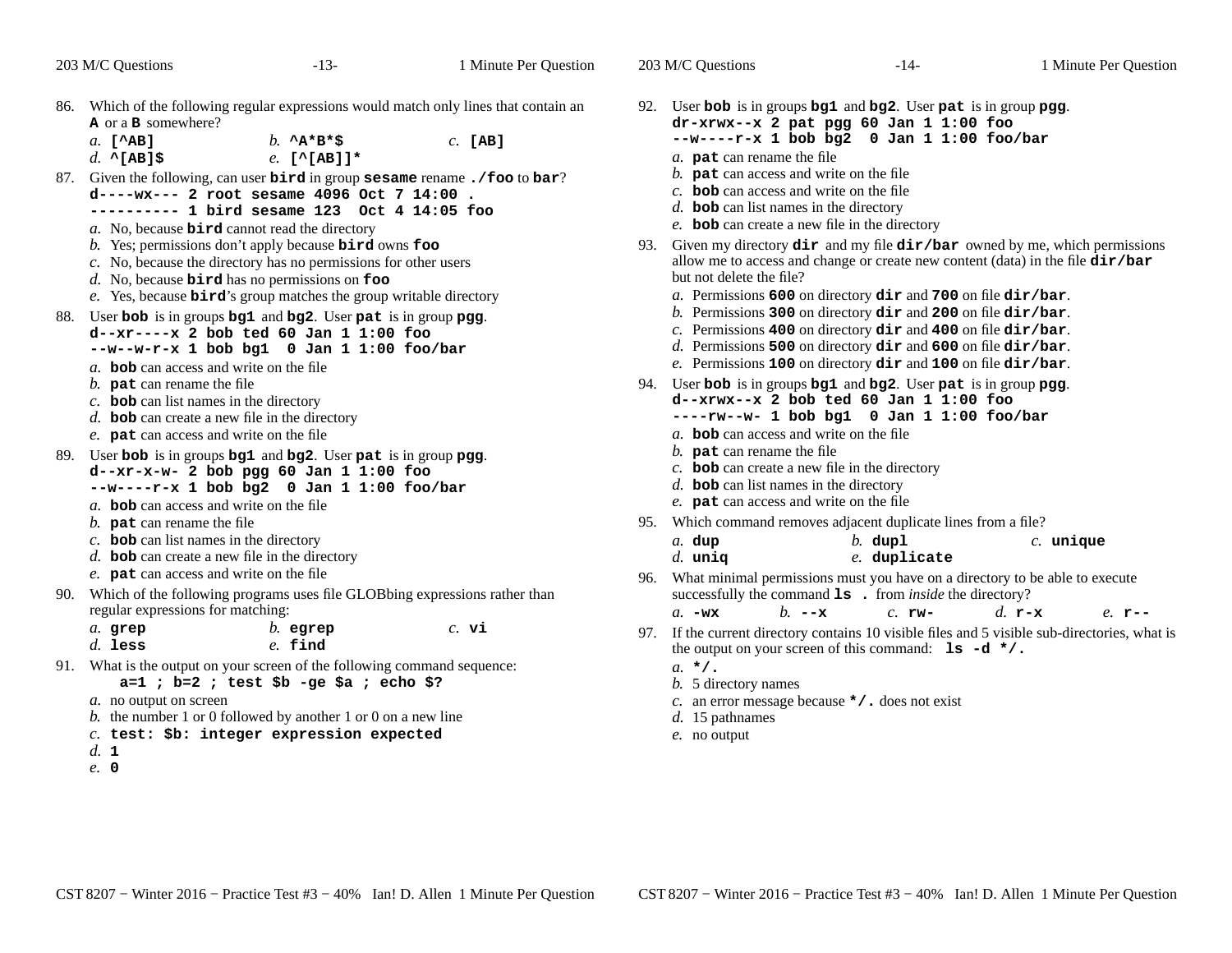203 M/C Questions

203 M/C Questions

*e.* no output

|     | 86. Which of the following regular expressions would match only lines that contain an                                                                                                                                     |
|-----|---------------------------------------------------------------------------------------------------------------------------------------------------------------------------------------------------------------------------|
|     | A or a B somewhere?<br>$b. \ \^A$ *B*\$<br>a. [ $AB$ ]<br>$c.$ [AB]                                                                                                                                                       |
|     | d. $\land$ [AB]\$<br>e. $[^{\wedge}$ [AB]] *                                                                                                                                                                              |
| 87. | Given the following, can user bird in group sesame rename. / foo to bar?<br>d----wx--- 2 root sesame 4096 Oct 7 14:00.<br>----- 1 bird sesame 123 Oct 4 14:05 foo<br>a. No, because <b>bird</b> cannot read the directory |
|     | b. Yes; permissions don't apply because bird owns foo                                                                                                                                                                     |
|     | c. No, because the directory has no permissions for other users                                                                                                                                                           |
|     | $d.$ No, because <b>bird</b> has no permissions on $\textbf{foo}$                                                                                                                                                         |
|     | e. Yes, because <b>bird</b> 's group matches the group writable directory                                                                                                                                                 |
| 88. | User bob is in groups bg1 and bg2. User pat is in group pgg.                                                                                                                                                              |
|     | $d - xr - - -x$ 2 bob ted 60 Jan 1 1:00 foo                                                                                                                                                                               |
|     | $-$ -w--w-r-x 1 bob bg1 0 Jan 1 1:00 foo/bar                                                                                                                                                                              |
|     | a. bob can access and write on the file                                                                                                                                                                                   |
|     | b. $\mathbf{pat}$ can rename the file<br>$c$ . bob can list names in the directory                                                                                                                                        |
|     | $d.$ bob can create a new file in the directory                                                                                                                                                                           |
|     | e. pat can access and write on the file                                                                                                                                                                                   |
| 89. | User bob is in groups bg1 and bg2. User pat is in group pgg.                                                                                                                                                              |
|     | $d - x + x - w - 2$ bob pgg 60 Jan 1 1:00 foo                                                                                                                                                                             |
|     | --w----r-x 1 bob bg2 0 Jan 1 1:00 foo/bar                                                                                                                                                                                 |
|     | a. <b>bob</b> can access and write on the file                                                                                                                                                                            |
|     | b. $\mathbf{pat}$ can rename the file                                                                                                                                                                                     |
|     | $c$ . bob can list names in the directory<br>$d.$ bob can create a new file in the directory                                                                                                                              |
|     | e. pat can access and write on the file                                                                                                                                                                                   |
| 90. | Which of the following programs uses file GLOBbing expressions rather than                                                                                                                                                |
|     | regular expressions for matching:                                                                                                                                                                                         |
|     | $c.$ vi<br>$b.$ egrep<br>a. grep                                                                                                                                                                                          |
|     | $d.$ less<br>$e.$ find                                                                                                                                                                                                    |
|     | 91. What is the output on your screen of the following command sequence:<br>a=1 ; b=2 ; test \$b -ge \$a ; echo \$?                                                                                                       |
|     | a. no output on screen                                                                                                                                                                                                    |
|     | b. the number 1 or 0 followed by another 1 or 0 on a new line                                                                                                                                                             |
|     | $c.$ test: \$b: integer expression expected                                                                                                                                                                               |

- *d.* **<sup>1</sup>**
- *e.* **0**

92. User **bob** is in groups **bg1** and **bg2**. User **pat** is in group **pgg**. **dr-xrwx--x 2 pat pgg 60 Jan 1 1:00 foo --w----r-x 1 bob bg2 <sup>0</sup> Jan 1 1:00 foo/bar** *a.* **pat** can rename the file *b.* **pat** can access and write on the file *c.* **bob** can access and write on the file *d.* **bob** can list names in the directory *e.* **bob** can create a new file in the directory 93. Given my directory **dir** and my file **dir/bar** owned by me, which permissions allow me to access and change or create new content (data) in the file **dir/bar**but not delete the file? *a.* Permissions **<sup>600</sup>** on directory **dir** and **<sup>700</sup>** on file **dir/bar**. *b.* Permissions **<sup>300</sup>** on directory **dir** and **<sup>200</sup>** on file **dir/bar**. *c.* Permissions **<sup>400</sup>** on directory **dir** and **<sup>400</sup>** on file **dir/bar**. *d.* Permissions **<sup>500</sup>** on directory **dir** and **<sup>600</sup>** on file **dir/bar**. *e.* Permissions **<sup>100</sup>** on directory **dir** and **<sup>100</sup>** on file **dir/bar**. 94. User **bob** is in groups **bg1** and **bg2**. User **pat** is in group **pgg**. **d--xrwx--x 2 bob ted 60 Jan 1 1:00 foo ----rw--w- 1 bob bg1 <sup>0</sup> Jan 1 1:00 foo/bar** *a.* **bob** can access and write on the file *b.* **pat** can rename the file *c.* **bob** can create a new file in the directory *d.* **bob** can list names in the directory *e.* **pat** can access and write on the file 95. Which command removes adjacent duplicate lines from a file? *a.* **dup** *b.* **dupl** *c.* **unique** *d.* **uniq** *e.* **duplicate** 96. What minimal permissions must you have on a directory to be able to execute successfully the command **ls** . from *inside* the directory? *a.* **-wx** *b.* **--x** *c.* **rw-** *d.* **r-x** *e.* **r--** 97. If the current directory contains 10 visible files and 5 visible sub-directories, what isthe output on your screen of this command: **ls -d \*/.***a.* **\*/.** *b.* 5 directory names *c.* an error message because **\*/.** does not exist *d.* 15 pathnames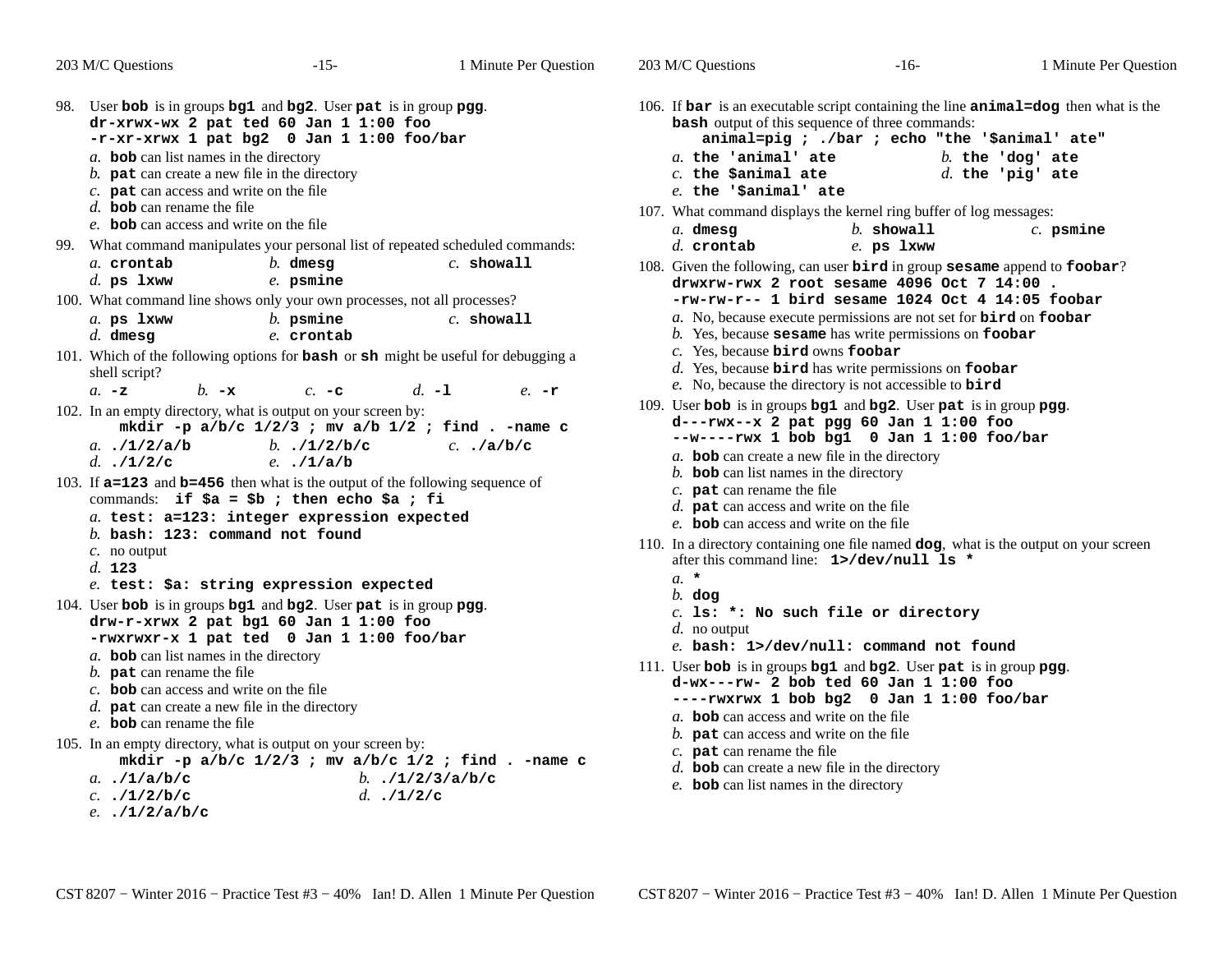| 203 M/C Questions                                                                                                                                                                                                                                                                                                                                                                     | $-15-$                                                                                            | 1 Minute Per Question |
|---------------------------------------------------------------------------------------------------------------------------------------------------------------------------------------------------------------------------------------------------------------------------------------------------------------------------------------------------------------------------------------|---------------------------------------------------------------------------------------------------|-----------------------|
| User bob is in groups bg1 and bg2. User pat is in group pgg.<br>98.<br>dr-xrwx-wx 2 pat ted 60 Jan 1 1:00 foo<br>-r-xr-xrwx 1 pat bg2 0 Jan 1 1:00 foo/bar<br>a. bob can list names in the directory<br>b. $pat$ can create a new file in the directory<br>$c$ . pat can access and write on the file<br>d. bob can rename the file<br>e. <b>bob</b> can access and write on the file |                                                                                                   |                       |
| What command manipulates your personal list of repeated scheduled commands:<br>99.<br>a. crontab<br>$d.$ ps $1$ xww                                                                                                                                                                                                                                                                   | $b.$ dmesg<br>$e$ . psmine                                                                        | $c.$ showall          |
| 100. What command line shows only your own processes, not all processes?<br>a. ps lxww<br>$d.$ dmesg                                                                                                                                                                                                                                                                                  | $b.$ psmine<br>e. crontab                                                                         | $c.$ showall          |
| 101. Which of the following options for bash or sh might be useful for debugging a<br>shell script?<br>$a. -z$<br>$h - x$                                                                                                                                                                                                                                                             | $d_{-}$ -1<br>$c. -c$                                                                             | $e. -r$               |
| 102. In an empty directory, what is output on your screen by:<br>a. $(1/2/a/b)$<br>d. $.11/2/c$                                                                                                                                                                                                                                                                                       | mkdir -p $a/b/c$ 1/2/3; mv $a/b$ 1/2; find. -name c<br>b. $.1/2/b/c$<br>e. $.1/a/b$               | $c.$ ./a/b/c          |
| 103. If a=123 and b=456 then what is the output of the following sequence of<br>commands: if $\xi a = \xi b$ ; then echo $\xi a$ ; fi<br>a. test: a=123: integer expression expected<br>b. bash: 123: command not found<br>$c.$ no output<br>d. 123<br>e. test: \$a: string expression expected                                                                                       |                                                                                                   |                       |
| 104. User bob is in groups bg1 and bg2. User pat is in group pgg.<br>drw-r-xrwx 2 pat bg1 60 Jan 1 1:00 foo<br>-rwxrwxr-x 1 pat ted 0 Jan 1 1:00 foo/bar<br>a. bob can list names in the directory<br>b. $pat$ can rename the file<br>$c$ . bob can access and write on the file<br>$d.$ pat can create a new file in the directory<br>e. bob can rename the file                     |                                                                                                   |                       |
| 105. In an empty directory, what is output on your screen by:<br>a. $. /1/a/b/c$<br>$c.$ ./1/2/b/c                                                                                                                                                                                                                                                                                    | mkdir -p $a/b/c$ $1/2/3$ ; mv $a/b/c$ $1/2$ ; find. -name c<br>b. $.11/2/3/a/b/c$<br>d. $.11/2/c$ |                       |

*e.* **./1/2/a/b/c**

| 203 M/C Questions                                                                                                                                                                                    | $-16-$             | 1 Minute Per Question |
|------------------------------------------------------------------------------------------------------------------------------------------------------------------------------------------------------|--------------------|-----------------------|
|                                                                                                                                                                                                      |                    |                       |
| 106. If $bar$ is an executable script containing the line $annal = dog$ then what is the<br><b>bash</b> output of this sequence of three commands:<br>animal=pig ; ./bar ; echo "the '\$animal' ate" |                    |                       |
| $a.$ the 'animal' ate                                                                                                                                                                                | b. the 'dog' ate   |                       |
| $c$ . the \$animal ate                                                                                                                                                                               | $d.$ the 'pig' ate |                       |
| $e$ . the '\$animal' ate                                                                                                                                                                             |                    |                       |
| 107. What command displays the kernel ring buffer of log messages:                                                                                                                                   |                    |                       |
| $a.$ dmesq                                                                                                                                                                                           | $h$ . showall      | $c.$ psmine           |
| $d.$ crontab                                                                                                                                                                                         | $e$ . ps $1$ xww   |                       |
| 108. Given the following, can user bird in group sesame append to foobar?<br>drwxrw-rwx 2 root sesame 4096 Oct 7 14:00.                                                                              |                    |                       |
| -rw-rw-r-- 1 bird sesame 1024 Oct 4 14:05 foobar                                                                                                                                                     |                    |                       |
| a. No, because execute permissions are not set for <b>bird</b> on <b>foobar</b>                                                                                                                      |                    |                       |
| b. Yes, because sesame has write permissions on foobar                                                                                                                                               |                    |                       |
| $c$ . Yes, because bird owns foobar                                                                                                                                                                  |                    |                       |
| d. Yes, because <b>bird</b> has write permissions on <b>foobar</b><br>e. No, because the directory is not accessible to bird                                                                         |                    |                       |
|                                                                                                                                                                                                      |                    |                       |
| 109. User bob is in groups bg1 and bg2. User pat is in group pgg.<br>d---rwx--x 2 pat pgg 60 Jan 1 1:00 foo                                                                                          |                    |                       |
| $--w---rwx$ 1 bob bg1 0 Jan 1 1:00 foo/bar                                                                                                                                                           |                    |                       |
| a. bob can create a new file in the directory                                                                                                                                                        |                    |                       |
| $b$ . bob can list names in the directory                                                                                                                                                            |                    |                       |
| $c$ . <b>pat</b> can rename the file                                                                                                                                                                 |                    |                       |
| d. <b>pat</b> can access and write on the file                                                                                                                                                       |                    |                       |
| e. <b>bob</b> can access and write on the file                                                                                                                                                       |                    |                       |
| 110. In a directory containing one file named dog, what is the output on your screen                                                                                                                 |                    |                       |
| after this command line: 1>/dev/null 1s *                                                                                                                                                            |                    |                       |
| $a^{*}$                                                                                                                                                                                              |                    |                       |
| $b.$ dog                                                                                                                                                                                             |                    |                       |
| $c.$ 1s: *: No such file or directory                                                                                                                                                                |                    |                       |
| d. no output                                                                                                                                                                                         |                    |                       |
| e. bash: 1>/dev/null: command not found                                                                                                                                                              |                    |                       |
| 111. User bob is in groups bg1 and bg2. User pat is in group pgg.                                                                                                                                    |                    |                       |
| $d-wx---rw-2$ bob ted 60 Jan 1 1:00 foo                                                                                                                                                              |                    |                       |
| $---rwxrwx$ 1 bob bg2 0 Jan 1 1:00 foo/bar                                                                                                                                                           |                    |                       |
| a. <b>bob</b> can access and write on the file                                                                                                                                                       |                    |                       |
| b. $\mathbf{pat}$ can access and write on the file                                                                                                                                                   |                    |                       |
| c. $pat$ can rename the file                                                                                                                                                                         |                    |                       |

- 
- *d.* **bob** can create a new file in the directory
- *e.* **bob** can list names in the directory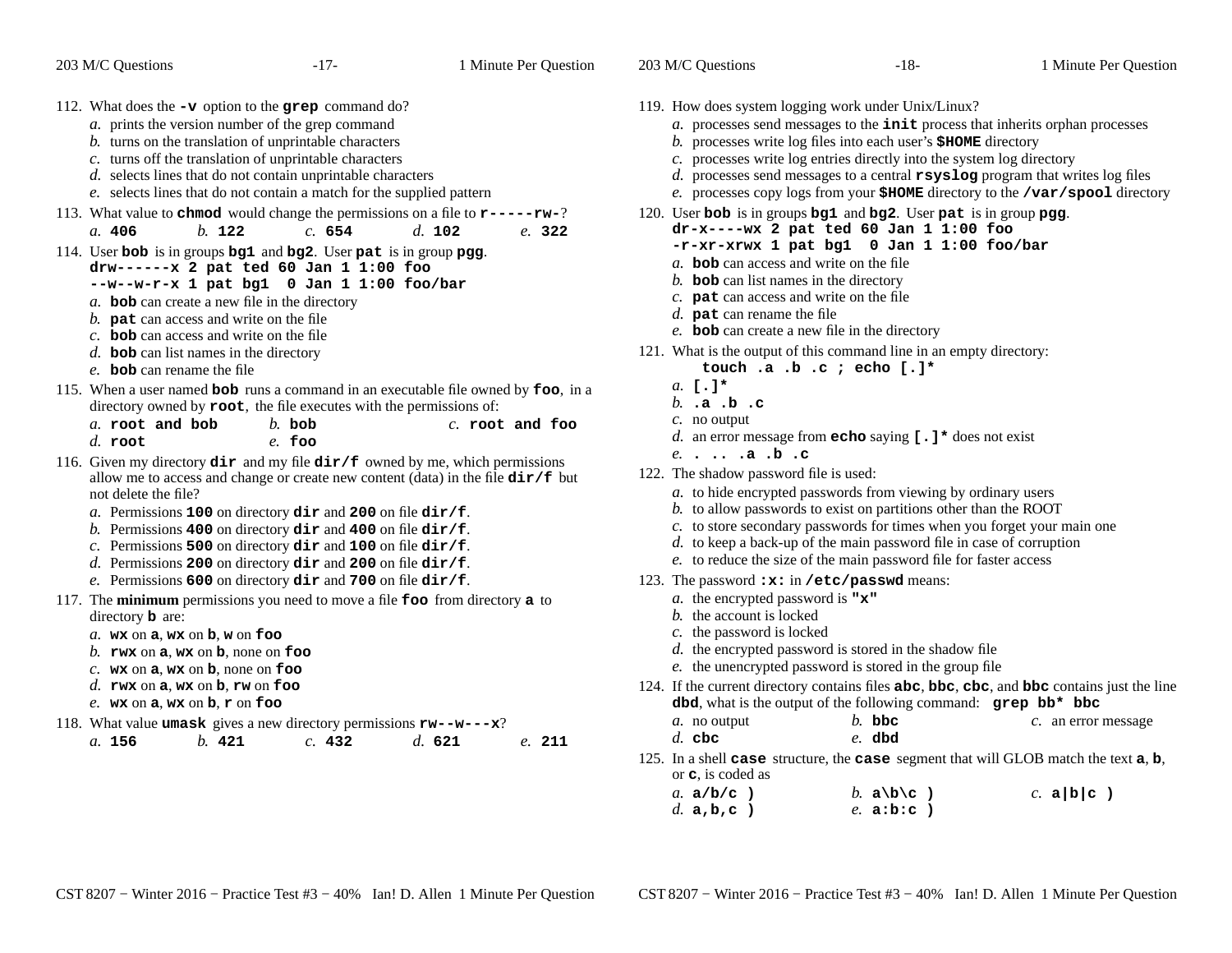203 M/C Questions

203 M/C Questions

| 112. What does the $-\mathbf{v}$ option to the grep command do?<br>a. prints the version number of the grep command<br>b. turns on the translation of unprintable characters<br>c. turns off the translation of unprintable characters<br>d. selects lines that do not contain unprintable characters<br>e. selects lines that do not contain a match for the supplied pattern                                                                                                                                                                                                                                         |
|------------------------------------------------------------------------------------------------------------------------------------------------------------------------------------------------------------------------------------------------------------------------------------------------------------------------------------------------------------------------------------------------------------------------------------------------------------------------------------------------------------------------------------------------------------------------------------------------------------------------|
| 113. What value to chmod would change the permissions on a file to $r$ ----- $rw-$ ?                                                                                                                                                                                                                                                                                                                                                                                                                                                                                                                                   |
| c. 654<br>a. 406<br>b. 122<br>d. 102<br>e. 322                                                                                                                                                                                                                                                                                                                                                                                                                                                                                                                                                                         |
| 114. User bob is in groups bg1 and bg2. User pat is in group pgg.<br>drw------x 2 pat ted 60 Jan 1 1:00 foo<br>--w--w-r-x 1 pat bg1 0 Jan 1 1:00 foo/bar<br>$a$ . bob can create a new file in the directory<br>b. $pat$ can access and write on the file<br>$c$ . bob can access and write on the file<br>$d.$ bob can list names in the directory<br>e. bob can rename the file                                                                                                                                                                                                                                      |
| 115. When a user named bob runs a command in an executable file owned by foo, in a                                                                                                                                                                                                                                                                                                                                                                                                                                                                                                                                     |
| directory owned by root, the file executes with the permissions of:<br>a. root and bob<br>$h$ bob<br>$c.$ root and foo<br>$d.$ root<br>$e$ foo                                                                                                                                                                                                                                                                                                                                                                                                                                                                         |
| 116. Given my directory dir and my file dir/f owned by me, which permissions<br>allow me to access and change or create new content (data) in the file $\text{dir}/f$ but<br>not delete the file?<br>a. Permissions 100 on directory $\text{dir}$ and 200 on file $\text{dir}/f$ .<br>b. Permissions 400 on directory $\text{dir}$ and 400 on file $\text{dir}/f$ .<br>c. Permissions 500 on directory $\text{dir}$ and 100 on file $\text{dir}/f$ .<br>d. Permissions 200 on directory $\text{dir}$ and 200 on file $\text{dir}/f$ .<br>e. Permissions 600 on directory $\text{dir}$ and 700 on file $\text{dir}/f$ . |
| 117. The minimum permissions you need to move a file foo from directory a to<br>directory <b>b</b> are:                                                                                                                                                                                                                                                                                                                                                                                                                                                                                                                |
| a. $wx$ on $a$ , $wx$ on $b$ , $w$ on $f$ oo<br>b. rwx on $a$ , wx on $b$ , none on foo<br>c. $wx$ on $a, wx$ on $b$ , none on foo<br>d. rwx on $a$ , wx on $b$ , rw on foo<br>e. $wx$ on $a, wx$ on $b, r$ on foo                                                                                                                                                                                                                                                                                                                                                                                                     |
| 118. What value <b>umask</b> gives a new directory permissions $rw--w--x$ ?                                                                                                                                                                                                                                                                                                                                                                                                                                                                                                                                            |
| b. 421<br>a. 156<br>c. 432<br>d. 621<br>e. 211                                                                                                                                                                                                                                                                                                                                                                                                                                                                                                                                                                         |
|                                                                                                                                                                                                                                                                                                                                                                                                                                                                                                                                                                                                                        |

| 119. How does system logging work under Unix/Linux?                                                                                               |                                  |                     |
|---------------------------------------------------------------------------------------------------------------------------------------------------|----------------------------------|---------------------|
| a. processes send messages to the init process that inherits orphan processes                                                                     |                                  |                     |
| b. processes write log files into each user's $$HOME$ directory                                                                                   |                                  |                     |
| c. processes write log entries directly into the system log directory                                                                             |                                  |                     |
| d. processes send messages to a central $rsyslog$ program that writes log files                                                                   |                                  |                     |
| e. processes copy logs from your \$HOME directory to the /var/spool directory                                                                     |                                  |                     |
| 120. User bob is in groups bg1 and bg2. User pat is in group pgg.                                                                                 |                                  |                     |
| $dr-x---wx$ 2 pat ted 60 Jan 1 1:00 foo                                                                                                           |                                  |                     |
| -r-xr-xrwx 1 pat bg1 0 Jan 1 1:00 foo/bar                                                                                                         |                                  |                     |
| a. bob can access and write on the file                                                                                                           |                                  |                     |
| $b$ . bob can list names in the directory                                                                                                         |                                  |                     |
| $c$ . <b>pat</b> can access and write on the file                                                                                                 |                                  |                     |
| $d.$ pat can rename the file                                                                                                                      |                                  |                     |
| e. bob can create a new file in the directory                                                                                                     |                                  |                     |
| 121. What is the output of this command line in an empty directory:                                                                               |                                  |                     |
| touch .a .b .c ; echo [.]*                                                                                                                        |                                  |                     |
| $a.  [ . ]$ *                                                                                                                                     |                                  |                     |
| b. $.a. b. c$                                                                                                                                     |                                  |                     |
| $c$ . no output                                                                                                                                   |                                  |                     |
| d. an error message from echo saying $[ . ] *$ does not exist<br>$e.$ $a.b.c$                                                                     |                                  |                     |
|                                                                                                                                                   |                                  |                     |
| 122. The shadow password file is used:                                                                                                            |                                  |                     |
| a. to hide encrypted passwords from viewing by ordinary users                                                                                     |                                  |                     |
| b. to allow passwords to exist on partitions other than the ROOT                                                                                  |                                  |                     |
| c. to store secondary passwords for times when you forget your main one<br>$d.$ to keep a back-up of the main password file in case of corruption |                                  |                     |
| e. to reduce the size of the main password file for faster access                                                                                 |                                  |                     |
|                                                                                                                                                   |                                  |                     |
| 123. The password :x: in /etc/passwd means:<br>a. the encrypted password is " $x$ "                                                               |                                  |                     |
| b. the account is locked                                                                                                                          |                                  |                     |
| $c$ . the password is locked                                                                                                                      |                                  |                     |
| d. the encrypted password is stored in the shadow file                                                                                            |                                  |                     |
| e. the unencrypted password is stored in the group file                                                                                           |                                  |                     |
| 124. If the current directory contains files abc, bbc, cbc, and bbc contains just the line                                                        |                                  |                     |
| dbd, what is the output of the following command: grep bb* bbc                                                                                    |                                  |                     |
| a. no output                                                                                                                                      | $b.$ bbc                         | c. an error message |
| $d.$ cbc                                                                                                                                          | $e$ . dbd                        |                     |
| 125. In a shell case structure, the case segment that will GLOB match the text a, b,                                                              |                                  |                     |
| or <b>c</b> , is coded as                                                                                                                         |                                  |                     |
| a. $a/b/c$ )                                                                                                                                      | b. $a\backslash b\backslash c$ ) | c. $a b c$ )        |
| d. $a,b,c$ )                                                                                                                                      | $e.$ a:b:c)                      |                     |
|                                                                                                                                                   |                                  |                     |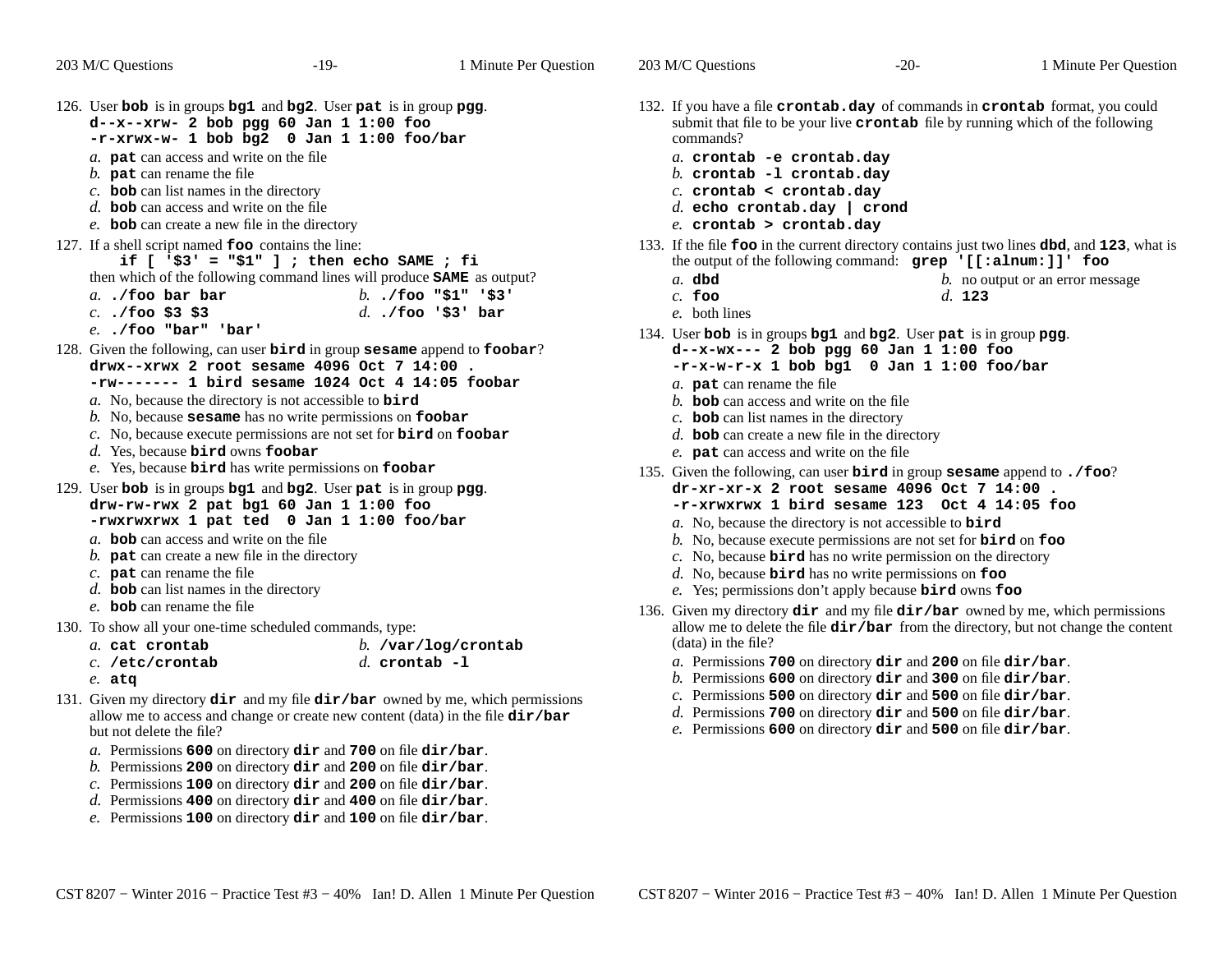203 M/C Questions

| 126. User bob is in groups bg1 and bg2. User pat is in group pgg.<br>$d - x - xrw - 2$ bob pgg 60 Jan 1 1:00 foo<br>$-r-rxrwx-w-1$ bob bg2 0 Jan 1 1:00 foo/bar<br>a. pat can access and write on the file<br>b. $\mathbf{pat}$ can rename the file<br>$c$ . bob can list names in the directory<br>d. <b>bob</b> can access and write on the file<br>e. <b>bob</b> can create a new file in the directory |
|------------------------------------------------------------------------------------------------------------------------------------------------------------------------------------------------------------------------------------------------------------------------------------------------------------------------------------------------------------------------------------------------------------|
| 127. If a shell script named foo contains the line:                                                                                                                                                                                                                                                                                                                                                        |
| if $[$ '\$3' = "\$1" ] ; then echo SAME ; fi<br>then which of the following command lines will produce <b>SAME</b> as output?                                                                                                                                                                                                                                                                              |
| $b.$ ./foo "\$1" '\$3'<br>$a.$ ./foo bar bar                                                                                                                                                                                                                                                                                                                                                               |
| $d.$ ./foo '\$3' bar<br>$c.$ ./foo \$3 \$3<br>$e.$ ./foo "bar" 'bar'                                                                                                                                                                                                                                                                                                                                       |
| 128. Given the following, can user <b>bird</b> in group <b>sesame</b> append to <b>foobar</b> ?                                                                                                                                                                                                                                                                                                            |
| $\frac{1}{2}$ drwx--xrwx 2 root sesame 4096 Oct 7 14:00.<br>$-rw-----1$ bird sesame 1024 Oct 4 14:05 foobar                                                                                                                                                                                                                                                                                                |
| a. No, because the directory is not accessible to <b>bird</b>                                                                                                                                                                                                                                                                                                                                              |
| $b$ . No, because sesame has no write permissions on foobar                                                                                                                                                                                                                                                                                                                                                |
| c. No, because execute permissions are not set for bird on foobar                                                                                                                                                                                                                                                                                                                                          |
| d. Yes, because bird owns foobar<br>e. Yes, because bird has write permissions on foobar                                                                                                                                                                                                                                                                                                                   |
| 129. User bob is in groups bg1 and bg2. User pat is in group pgg.                                                                                                                                                                                                                                                                                                                                          |
| drw-rw-rwx 2 pat bg1 60 Jan 1 1:00 foo                                                                                                                                                                                                                                                                                                                                                                     |
| -rwxrwxrwx 1 pat ted 0 Jan 1 1:00 foo/bar                                                                                                                                                                                                                                                                                                                                                                  |
| a. <b>bob</b> can access and write on the file                                                                                                                                                                                                                                                                                                                                                             |
| b. $\mathbf{pat}$ can create a new file in the directory                                                                                                                                                                                                                                                                                                                                                   |
| c. $pat$ can rename the file                                                                                                                                                                                                                                                                                                                                                                               |
| $d.$ bob can list names in the directory<br>e. bob can rename the file                                                                                                                                                                                                                                                                                                                                     |
| $120 - T - 1$ , $T - 1$ , $T - 1$ , $T - 1$ , $T - 1$ , $T - 1$ , $T - 1$ , $T - 1$ , $T - 1$ , $T - 1$ , $T - 1$ , $T - 1$ , $T - 1$ , $T - 1$ , $T - 1$ , $T - 1$ , $T - 1$ , $T - 1$ , $T - 1$ , $T - 1$ , $T - 1$ , $T - 1$ , $T - 1$ , $T - 1$ , $T - 1$ , $T - 1$ , $T - 1$ ,                                                                                                                        |

130. To show all your one-time scheduled commands, type:

|  | a. cat crontab | b. $/var/log/crontab$ |
|--|----------------|-----------------------|
|  |                |                       |

- *c.* **/etc/crontab***d.* **crontab -l**
- *e.* **atq**
- 131. Given my directory **dir** and my file **dir/bar** owned by me, which permissions allow me to access and change or create new content (data) in the file **dir/bar**but not delete the file?
	- *a.* Permissions **<sup>600</sup>** on directory **dir** and **<sup>700</sup>** on file **dir/bar**.
	- *b.* Permissions **<sup>200</sup>** on directory **dir** and **<sup>200</sup>** on file **dir/bar**.
	- *c.* Permissions **<sup>100</sup>** on directory **dir** and **<sup>200</sup>** on file **dir/bar**.
	- *d.* Permissions **<sup>400</sup>** on directory **dir** and **<sup>400</sup>** on file **dir/bar**.
	- *e.* Permissions **<sup>100</sup>** on directory **dir** and **<sup>100</sup>** on file **dir/bar**.
- 132. If you have a file **crontab.day** of commands in **crontab** format, you could submit that file to be your live **crontab** file by running which of the following commands?
	- *a.* **crontab -e crontab.day**
	- *b.* **crontab -l crontab.day**
	- *c.* **crontab < crontab.day**
	- *d.* **echo crontab.day | crond**
	- *e.* **crontab > crontab.day**
- 133. If the file **foo** in the current directory contains just two lines **dbd**, and **<sup>123</sup>**, what is the output of the following command: **grep '[[:alnum:]]' foo**
	- **d b**. no output or an error message *a.* **dbd**
		- *d.* **<sup>123</sup>**
	- *c.* **foo***e.* both lines
- 134. User **bob** is in groups **bg1** and **bg2**. User **pat** is in group **pgg**. **d--x-wx--- 2 bob pgg 60 Jan 1 1:00 foo**
	- **-r-x-w-r-x 1 bob bg1 <sup>0</sup> Jan 1 1:00 foo/bar**
	- *a.* **pat** can rename the file
	- *b.* **bob** can access and write on the file
	- *c.* **bob** can list names in the directory
	- *d.* **bob** can create a new file in the directory
	- *e.* **pat** can access and write on the file
- 135. Given the following, can user **bird** in group **sesame** append to **./foo**? **dr-xr-xr-x 2 root sesame 4096 Oct 7 14:00 .**
	- **-r-xrwxrwx 1 bird sesame 123 Oct 4 14:05 foo**
	- *a.* No, because the directory is not accessible to **bird**
	- *b.* No, because execute permissions are not set for **bird** on **foo**
	- *c.* No, because **bird** has no write permission on the directory
	- *d.* No, because **bird** has no write permissions on **foo**
	- *e.* Yes; permissions don't apply because **bird** owns **foo**
- 136. Given my directory **dir** and my file **dir/bar** owned by me, which permissions allow me to delete the file **dir/bar** from the directory, but not change the content (data) in the file?
	- *a.* Permissions **<sup>700</sup>** on directory **dir** and **<sup>200</sup>** on file **dir/bar**.
	- *b.* Permissions **<sup>600</sup>** on directory **dir** and **<sup>300</sup>** on file **dir/bar**.
	- *c.* Permissions **<sup>500</sup>** on directory **dir** and **<sup>500</sup>** on file **dir/bar**.
	- *d.* Permissions **<sup>700</sup>** on directory **dir** and **<sup>500</sup>** on file **dir/bar**.
	- *e.* Permissions **<sup>600</sup>** on directory **dir** and **<sup>500</sup>** on file **dir/bar**.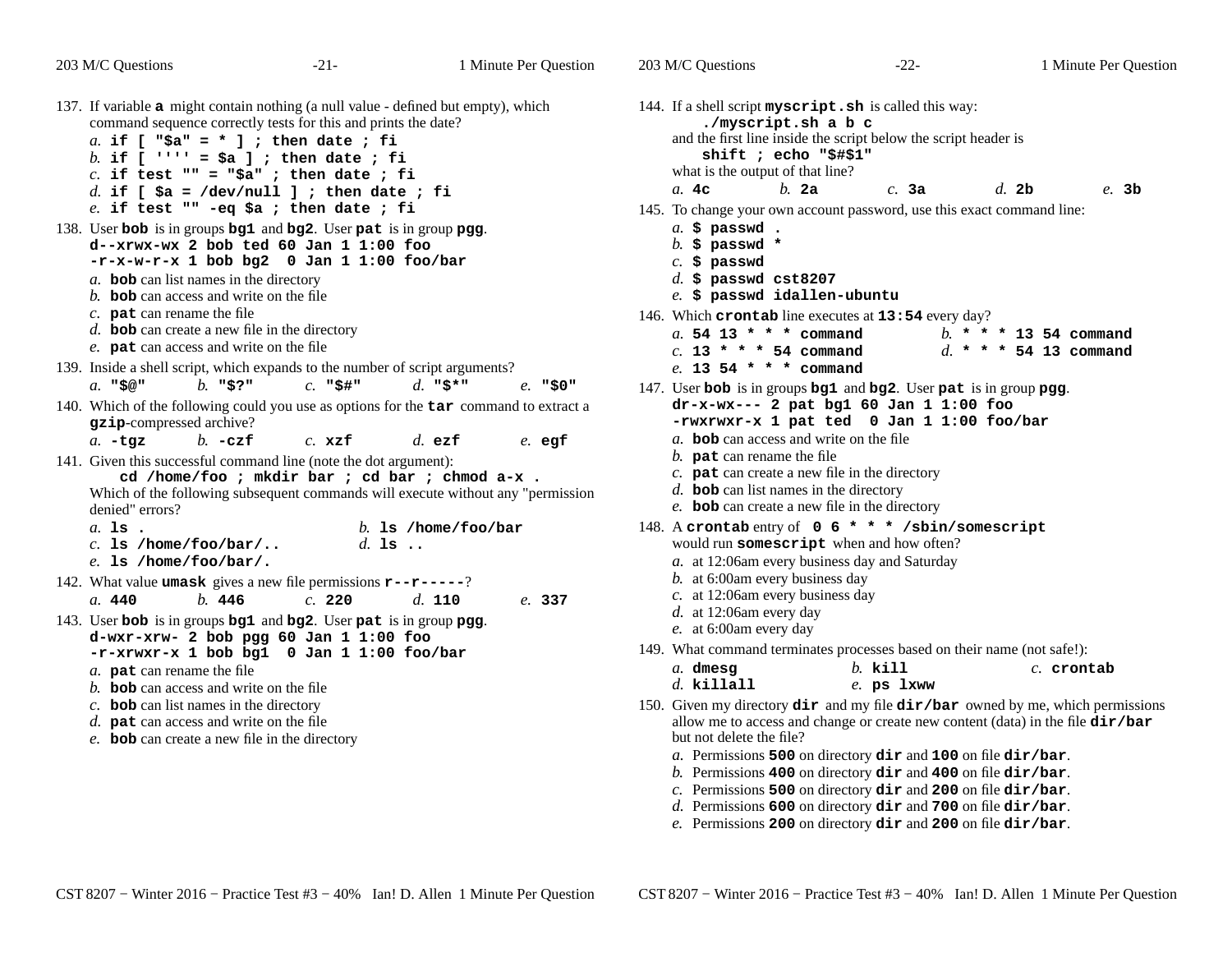|                                                                                                                                                                                                                                                                                                                                                                                      |                                                                                                                                                                                                                                                         | 1 Minute Per Question                             |  |  |  |
|--------------------------------------------------------------------------------------------------------------------------------------------------------------------------------------------------------------------------------------------------------------------------------------------------------------------------------------------------------------------------------------|---------------------------------------------------------------------------------------------------------------------------------------------------------------------------------------------------------------------------------------------------------|---------------------------------------------------|--|--|--|
| 137. If variable <b>a</b> might contain nothing (a null value - defined but empty), which<br>command sequence correctly tests for this and prints the date?<br>a. if $[$ "\$a" = * ] ; then date ; fi<br>b. if [ $\cdots$ = \$a ] ; then date ; fi<br>$c.$ if test $" " = "$a"$ ; then date; fi<br>a.4c<br>d. if [ $\operatorname{Sa} = \operatorname{/dev}/null$ ] ; then date ; fi | 144. If a shell script myscript.sh is called this way:<br>./myscript.sh a b c<br>and the first line inside the script below the script header is<br>shift ; echo "\$#\$1"<br>what is the output of that line?<br>b. 2a<br>d.2b<br>$c.$ 3a<br>$e.$ 3 $b$ |                                                   |  |  |  |
| $e.$ if test "" -eq \$a ; then date ; fi                                                                                                                                                                                                                                                                                                                                             | 145. To change your own account password, use this exact command line:                                                                                                                                                                                  |                                                   |  |  |  |
| $a.$ \$ passwd .<br>138. User bob is in groups bg1 and bg2. User pat is in group pgg.<br>d--xrwx-wx 2 bob ted 60 Jan 1 1:00 foo<br>b. $\sharp$ passwd *<br>$-r-x-w-r-x$ 1 bob bg2 0 Jan 1 1:00 foo/bar<br>$c.$ \$ passwd<br>a. bob can list names in the directory<br>d. \$ passwd $cst8207$<br>h. <b>bob</b> can access and write on the file<br>e. \$ passwd idallen-ubuntu        |                                                                                                                                                                                                                                                         |                                                   |  |  |  |
| $c.$ pat can rename the file<br>$d.$ bob can create a new file in the directory<br>a. 54 13 * * * command<br>e. pat can access and write on the file<br>$c. 13$ * * * 54 command                                                                                                                                                                                                     | 146. Which crontab line executes at 13:54 every day?                                                                                                                                                                                                    | $b. * * * 1354$ command<br>d. * * * 54 13 command |  |  |  |
| 139. Inside a shell script, which expands to the number of script arguments?                                                                                                                                                                                                                                                                                                         | e. 13 54 * * * command                                                                                                                                                                                                                                  |                                                   |  |  |  |
| $b.$ "\$?"<br>$c.$ "\$#"<br>d. $\mathbf{u}$ s*"<br>$a.$ "\$@"<br>$e.$ "\$0"<br>140. Which of the following could you use as options for the tar command to extract a<br>gzip-compressed archive?<br>$h - c z f$                                                                                                                                                                      | 147. User bob is in groups bg1 and bg2. User pat is in group pgg.<br>$dr - x - wx - - 2$ pat bg1 60 Jan 1 1:00 foo<br>-rwxrwxr-x 1 pat ted 0 Jan 1 1:00 foo/bar<br>a. <b>bob</b> can access and write on the file                                       |                                                   |  |  |  |
| $a. -tqz$<br>$c.$ xzf<br>$d.$ ezf<br>$e.$ egf<br>141. Given this successful command line (note the dot argument):<br>cd /home/foo ; mkdir bar ; cd bar ; chmod a-x.<br>Which of the following subsequent commands will execute without any "permission<br>denied" errors?                                                                                                            | $b$ . pat can rename the file<br>c. $pat$ can create a new file in the directory<br>$d.$ bob can list names in the directory<br>e. bob can create a new file in the directory                                                                           |                                                   |  |  |  |
| $a.$ ls.<br>b. 1s /home/foo/bar<br>d. 1s<br>$c.$ 1s /home/foo/bar/<br>$e.$ ls /home/foo/bar/.                                                                                                                                                                                                                                                                                        | 148. A crontabentry of 0 6 * * * /sbin/somescript<br>would run somescript when and how often?<br>a. at 12:06am every business day and Saturday                                                                                                          |                                                   |  |  |  |
| 142. What value <b>umask</b> gives a new file permissions $\mathbf{r}$ - $\mathbf{r}$ - $\mathbf{r}$ - $\mathbf{r}$ - $\mathbf{r}$                                                                                                                                                                                                                                                   | $b$ . at 6:00am every business day                                                                                                                                                                                                                      |                                                   |  |  |  |
| b. 446<br>c. 220<br>d. 110<br>a. 440<br>e. 337<br>143. User bob is in groups bg1 and bg2. User pat is in group pgg.<br>$d$ -wxr-xrw- 2 bob pgg 60 Jan 1 1:00 foo                                                                                                                                                                                                                     | $c$ . at 12:06am every business day<br>$d.$ at 12:06am every day<br>e. at 6:00am every day                                                                                                                                                              |                                                   |  |  |  |
| -r-xrwxr-x 1 bob bg1 0 Jan 1 1:00 foo/bar                                                                                                                                                                                                                                                                                                                                            | 149. What command terminates processes based on their name (not safe!):                                                                                                                                                                                 |                                                   |  |  |  |
| a. dmesg<br>a. pat can rename the file<br>$d.$ killall<br>b. bob can access and write on the file                                                                                                                                                                                                                                                                                    | $b.$ kill<br>$e$ . ps $1$ xww                                                                                                                                                                                                                           | $c.$ crontab                                      |  |  |  |
| $c$ . bob can list names in the directory<br>$d.$ pat can access and write on the file<br>e. bob can create a new file in the directory                                                                                                                                                                                                                                              | 150. Given my directory $\text{dir}$ and my file $\text{dir/bar}$ owned by me, which permissions<br>allow me to access and change or create new content (data) in the file dir/bar<br>but not delete the file?<br>the contract of the contract of the   |                                                   |  |  |  |

- *a.* Permissions **<sup>500</sup>** on directory **dir** and **<sup>100</sup>** on file **dir/bar**.
- *b.* Permissions **<sup>400</sup>** on directory **dir** and **<sup>400</sup>** on file **dir/bar**.
- *c.* Permissions **<sup>500</sup>** on directory **dir** and **<sup>200</sup>** on file **dir/bar**.
- *d.* Permissions **<sup>600</sup>** on directory **dir** and **<sup>700</sup>** on file **dir/bar**.
- *e.* Permissions **<sup>200</sup>** on directory **dir** and **<sup>200</sup>** on file **dir/bar**.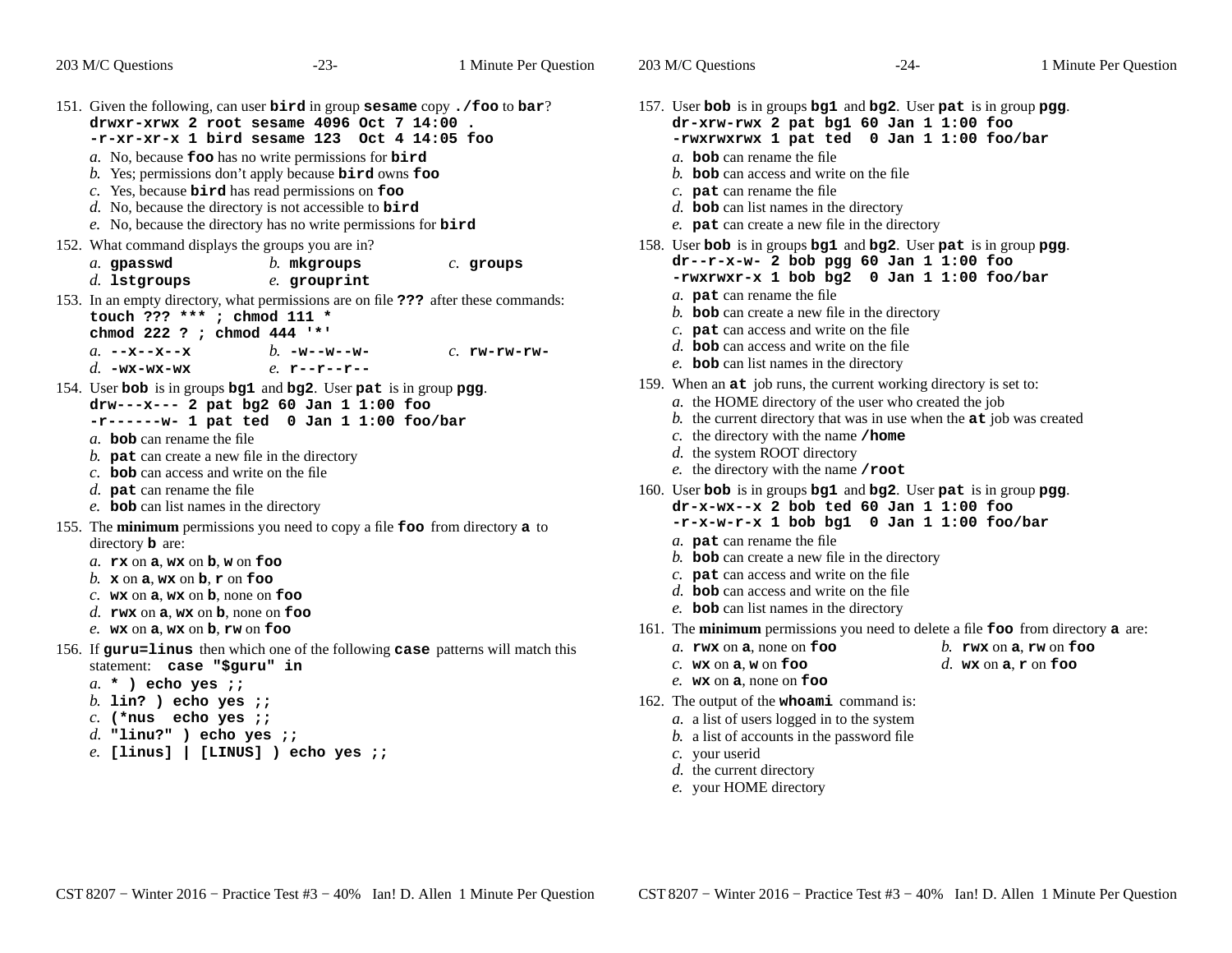| 203 M/C Questions                                                                                                                                                                                                                                                                       | $-23-$                                                                                                                                                                                                                                                                                                                                                                                                               | 1 Minute Per Question     | 203 M/C Questions                                                                                                                                                                                                                                                                                                                                                     | $-24-$                                                                                                                                                                     | 1 Minute Per Question                               |  |  |
|-----------------------------------------------------------------------------------------------------------------------------------------------------------------------------------------------------------------------------------------------------------------------------------------|----------------------------------------------------------------------------------------------------------------------------------------------------------------------------------------------------------------------------------------------------------------------------------------------------------------------------------------------------------------------------------------------------------------------|---------------------------|-----------------------------------------------------------------------------------------------------------------------------------------------------------------------------------------------------------------------------------------------------------------------------------------------------------------------------------------------------------------------|----------------------------------------------------------------------------------------------------------------------------------------------------------------------------|-----------------------------------------------------|--|--|
| 151. Given the following, can user bird in group sesame copy. / foo to bar?<br>152. What command displays the groups you are in?                                                                                                                                                        | drwxr-xrwx 2 root sesame 4096 Oct 7 14:00<br>$-r-xr-xr-x$ 1 bird sesame 123 Oct 4 14:05 foo<br>$a$ . No, because foo has no write permissions for bird<br>b. Yes; permissions don't apply because $\text{bird}$ owns foo<br>$c$ . Yes, because bird has read permissions on foo<br>$d.$ No, because the directory is not accessible to <b>bird</b><br>e. No, because the directory has no write permissions for bird |                           | 157. User bob is in groups bg1 and bg2. User pat is in group pgg.<br>dr-xrw-rwx 2 pat bg1 60 Jan 1 1:00 foo<br>-rwxrwxrwx 1 pat ted 0 Jan 1 1:00 foo/bar<br>a. bob can rename the file<br>b. <b>bob</b> can access and write on the file<br>$c.$ pat can rename the file<br>$d.$ bob can list names in the directory<br>e. pat can create a new file in the directory |                                                                                                                                                                            |                                                     |  |  |
| a. gpasswd<br>d. 1stgroups                                                                                                                                                                                                                                                              | b. mkgroups<br>e. grouprint                                                                                                                                                                                                                                                                                                                                                                                          | $c.$ groups               | 158. User bob is in groups bg1 and bg2. User pat is in group pgg.                                                                                                                                                                                                                                                                                                     | $dr - r - x - w - 2$ bob pgg 60 Jan 1 1:00 foo<br>$-rwxrwxr-x$ 1 bob bg2 0 Jan 1 1:00 foo/bar                                                                              |                                                     |  |  |
| 153. In an empty directory, what permissions are on file ??? after these commands:<br>touch ??? *** ; chmod 111 *<br>chmod 222 ? ; chmod 444 '*'<br>a. $-$ - $x -$ - $x -$ - $x$<br>$d. -wx-wx-wx$                                                                                      | b. $-w$ ––w––w–<br>$e.$ r--r--r--                                                                                                                                                                                                                                                                                                                                                                                    | $c.$ $rw$ - $rw$ - $rw$ - | a. pat can rename the file<br>$b$ . bob can create a new file in the directory<br>$c$ . <b>pat</b> can access and write on the file<br>$d.$ bob can access and write on the file<br>e. bob can list names in the directory                                                                                                                                            |                                                                                                                                                                            |                                                     |  |  |
| 154. User bob is in groups bg1 and bg2. User pat is in group pgg.<br>a. bob can rename the file<br>b. $\mathbf{pat}$ can create a new file in the directory<br>c. <b>bob</b> can access and write on the file<br>d. $pat$ can rename the file<br>e. bob can list names in the directory | drw---x--- 2 pat bg2 60 Jan 1 1:00 foo<br>$-r$ ------- 1 pat ted 0 Jan 1 1:00 foo/bar                                                                                                                                                                                                                                                                                                                                |                           | 159. When an at job runs, the current working directory is set to:<br>$c$ . the directory with the name /home<br>d. the system ROOT directory<br>e. the directory with the name $\prime$ root<br>160. User bob is in groups bg1 and bg2. User pat is in group pgg.                                                                                                    | a. the HOME directory of the user who created the job<br>b. the current directory that was in use when the $at$ job was created<br>$dr-x-wx-x$ 2 bob ted 60 Jan 1 1:00 foo |                                                     |  |  |
| 155. The minimum permissions you need to copy a file foo from directory a to<br>directory <b>b</b> are:<br>a. $rx$ on $a$ , w $x$ on $b$ , w on foo<br>b. $x$ on $a$ , wx on $b$ , $r$ on foo<br>c. $wx$ on $a, wx$ on $b,$ none on foo<br>d. rwx on $a$ , wx on $b$ , none on foo      |                                                                                                                                                                                                                                                                                                                                                                                                                      |                           | a. pat can rename the file<br>b. bob can create a new file in the directory<br>c. $pat can access and write on the file$<br>$d.$ bob can access and write on the file<br>e. bob can list names in the directory                                                                                                                                                       | $-r-x-w-r-x$ 1 bob bg1 0 Jan 1 1:00 foo/bar                                                                                                                                |                                                     |  |  |
| e. $wx$ on $a$ , $wx$ on $b$ , $rw$ on $foo$<br>156. If guru=linus then which one of the following case patterns will match this<br>statement: case "\$guru" in<br>$a. *$ ) echo yes ;;                                                                                                 |                                                                                                                                                                                                                                                                                                                                                                                                                      |                           | 161. The minimum permissions you need to delete a file foo from directory a are:<br>a. rwx on $a$ , none on foo<br>$c.$ wx on $a$ , w on foo<br>e. $wx$ on $a$ , none on $f$ oo                                                                                                                                                                                       |                                                                                                                                                                            | b. rwx on $a$ , rw on foo<br>d. wx on $a, r$ on foo |  |  |
| b. lin? ) echo yes ;;<br>$c.$ (*nus echo yes ;;<br>$d.$ "linu?" ) echo yes ;;<br>e. [linus]   [LINUS] ) echo yes ;;                                                                                                                                                                     |                                                                                                                                                                                                                                                                                                                                                                                                                      |                           | 162. The output of the whoami command is:<br>a. a list of users logged in to the system<br>b. a list of accounts in the password file<br>$c.$ your userid<br>d. the current directory                                                                                                                                                                                 |                                                                                                                                                                            |                                                     |  |  |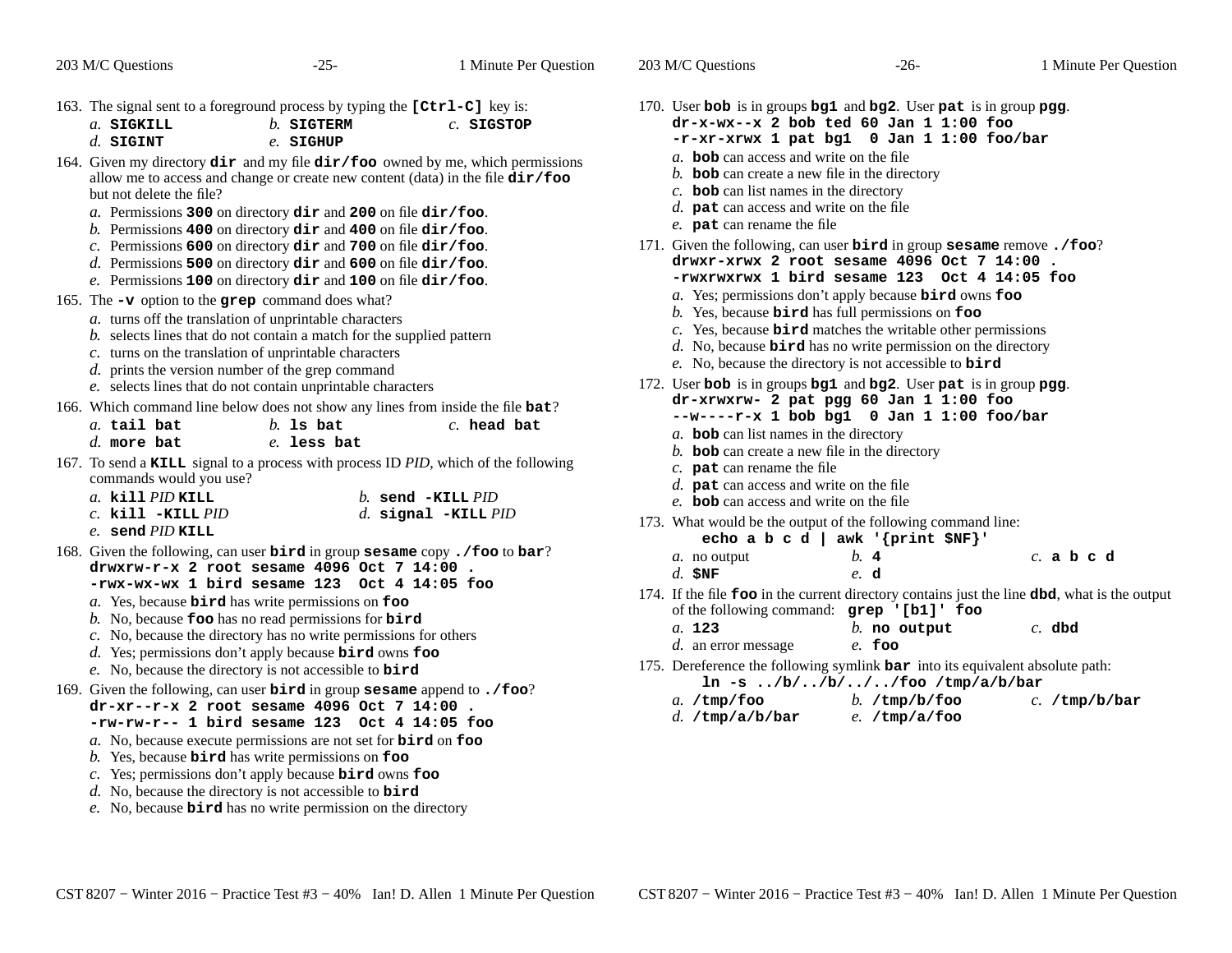| $-25-$                                                                                                                                                                                                                                                                                                                                                                                                                                                                                                                                                                                                                                                                                                                                                                                                                                                                                                                                                                                                                                  | 1 Minute Per Question                                               | 203 M/C Questions                                                                                                                                                                                                                                                                                                                                                                                                                                                                                                                                                                                                                                                                                                                                                                                                                                                                                                                                                                                                                                                                                                                                                                                                                                                                                                                                                                                    | $-26-$                                                                                                                                                                                                                                                                                                                                                                                                                                                                                                                                                                                                                                                                                                                                                                                                                                                                                                                                                       | 1 Minute Per Question                                                                                                                                                                                                                                                                                                                                                          |  |  |
|-----------------------------------------------------------------------------------------------------------------------------------------------------------------------------------------------------------------------------------------------------------------------------------------------------------------------------------------------------------------------------------------------------------------------------------------------------------------------------------------------------------------------------------------------------------------------------------------------------------------------------------------------------------------------------------------------------------------------------------------------------------------------------------------------------------------------------------------------------------------------------------------------------------------------------------------------------------------------------------------------------------------------------------------|---------------------------------------------------------------------|------------------------------------------------------------------------------------------------------------------------------------------------------------------------------------------------------------------------------------------------------------------------------------------------------------------------------------------------------------------------------------------------------------------------------------------------------------------------------------------------------------------------------------------------------------------------------------------------------------------------------------------------------------------------------------------------------------------------------------------------------------------------------------------------------------------------------------------------------------------------------------------------------------------------------------------------------------------------------------------------------------------------------------------------------------------------------------------------------------------------------------------------------------------------------------------------------------------------------------------------------------------------------------------------------------------------------------------------------------------------------------------------------|--------------------------------------------------------------------------------------------------------------------------------------------------------------------------------------------------------------------------------------------------------------------------------------------------------------------------------------------------------------------------------------------------------------------------------------------------------------------------------------------------------------------------------------------------------------------------------------------------------------------------------------------------------------------------------------------------------------------------------------------------------------------------------------------------------------------------------------------------------------------------------------------------------------------------------------------------------------|--------------------------------------------------------------------------------------------------------------------------------------------------------------------------------------------------------------------------------------------------------------------------------------------------------------------------------------------------------------------------------|--|--|
| $b.$ SIGTERM<br>$e.$ SIGHUP                                                                                                                                                                                                                                                                                                                                                                                                                                                                                                                                                                                                                                                                                                                                                                                                                                                                                                                                                                                                             | $c.$ SIGSTOP                                                        | 170. User bob is in groups bg1 and bg2. User pat is in group pgg.<br>$dr-x-wx-x$ 2 bob ted 60 Jan 1 1:00 foo<br>-r-xr-xrwx 1 pat bg1 0 Jan 1 1:00 foo/bar<br>a. <b>bob</b> can access and write on the file<br>$b$ . bob can create a new file in the directory<br>$c$ . bob can list names in the directory<br>d. <b>pat</b> can access and write on the file<br>e. pat can rename the file                                                                                                                                                                                                                                                                                                                                                                                                                                                                                                                                                                                                                                                                                                                                                                                                                                                                                                                                                                                                         |                                                                                                                                                                                                                                                                                                                                                                                                                                                                                                                                                                                                                                                                                                                                                                                                                                                                                                                                                              |                                                                                                                                                                                                                                                                                                                                                                                |  |  |
| c. Permissions 600 on directory $\text{dir}$ and 700 on file $\text{dir/foo}$ .<br>$d$ . Permissions 500 on directory $\text{dir}$ and 600 on file $\text{dir/foo}$ .<br>e. Permissions 100 on directory dir and 100 on file dir/foo.<br>165. The $-\mathbf{v}$ option to the grep command does what?<br>a. turns off the translation of unprintable characters<br>b. selects lines that do not contain a match for the supplied pattern<br>c. turns on the translation of unprintable characters<br>$d.$ prints the version number of the grep command<br>e. selects lines that do not contain unprintable characters<br>166. Which command line below does not show any lines from inside the file bat?<br>$a$ . tail bat<br>$h$ . Is bat<br>$c.$ head bat<br>$d.$ more bat<br>$e.$ less bat<br>167. To send a KILL signal to a process with process ID PID, which of the following<br>commands would you use?<br>a. kill PID KILL<br>b. send $-KILL$ PID<br>$c.$ kill $-KILL$ $PID$<br>d. signal $-KILL$ PID<br>$e.$ send $PID$ KILL |                                                                     |                                                                                                                                                                                                                                                                                                                                                                                                                                                                                                                                                                                                                                                                                                                                                                                                                                                                                                                                                                                                                                                                                                                                                                                                                                                                                                                                                                                                      | drwxr-xrwx 2 root sesame 4096 Oct 7 $14:00$ .<br>-rwxrwxrwx 1 bird sesame 123 Oct 4 14:05 foo<br>a. Yes; permissions don't apply because $\vec{b} \cdot \vec{r}$ downs foo<br>b. Yes, because $\boldsymbol{\text{bird}}$ has full permissions on $\boldsymbol{\text{foo}}$<br>$c$ . Yes, because <b>bird</b> matches the writable other permissions<br>$d.$ No, because <b>bird</b> has no write permission on the directory<br>e. No, because the directory is not accessible to $\vec{b} \cdot \vec{r}$<br>172. User bob is in groups bg1 and bg2. User pat is in group pgg.<br>dr-xrwxrw- 2 pat pgg 60 Jan 1 1:00 foo<br>$--w---r-x 1$ bob bg1 0 Jan 1 1:00 foo/bar<br>a. bob can list names in the directory<br>$b$ . bob can create a new file in the directory<br>$c.$ pat can rename the file<br>$d.$ pat can access and write on the file<br>e. bob can access and write on the file<br>173. What would be the output of the following command line: |                                                                                                                                                                                                                                                                                                                                                                                |  |  |
|                                                                                                                                                                                                                                                                                                                                                                                                                                                                                                                                                                                                                                                                                                                                                                                                                                                                                                                                                                                                                                         |                                                                     | a. no output<br>$d.$ SNF<br>a. 123<br>d. an error message<br>a. /tmp/foo<br>$d.$ /tmp/a/b/bar                                                                                                                                                                                                                                                                                                                                                                                                                                                                                                                                                                                                                                                                                                                                                                                                                                                                                                                                                                                                                                                                                                                                                                                                                                                                                                        | b.4<br>$e$ . d<br>$b$ . no output<br>$e.$ foo<br>b. $/\text{tmp/b/foo}$<br>$e.$ /tmp/a/foo                                                                                                                                                                                                                                                                                                                                                                                                                                                                                                                                                                                                                                                                                                                                                                                                                                                                   | $c.$ a $b.$ c d<br>$c.$ dbd<br>$c.$ /tmp/b/bar                                                                                                                                                                                                                                                                                                                                 |  |  |
|                                                                                                                                                                                                                                                                                                                                                                                                                                                                                                                                                                                                                                                                                                                                                                                                                                                                                                                                                                                                                                         | b. Yes, because $\vec{b}$ and has write permissions on $\vec{f}$ co | 163. The signal sent to a foreground process by typing the [Ctrl-C] key is:<br>164. Given my directory $\text{dir}$ and my file $\text{dir/foo}$ owned by me, which permissions<br>allow me to access and change or create new content (data) in the file dir/foo<br>a. Permissions 300 on directory dir and 200 on file dir/foo.<br>b. Permissions 400 on directory $\text{dir}$ and 400 on file $\text{dir/foo}$ .<br>168. Given the following, can user bird in group sesame copy. / foo to bar?<br>drwxrw-r-x 2 root sesame 4096 Oct 7 14:00.<br>$-rwx-wx$ 1 bird sesame 123 Oct 4 14:05 foo<br>a. Yes, because bird has write permissions on foo<br>b. No, because foo has no read permissions for $bird$<br>c. No, because the directory has no write permissions for others<br>$d.$ Yes; permissions don't apply because <b>bird</b> owns foo<br>e. No, because the directory is not accessible to $\vec{b} \cdot \vec{r}$<br>169. Given the following, can user bird in group sesame append to . /foo?<br>$dr - xr - r - x$ 2 root sesame 4096 Oct 7 14:00.<br>$-rw-rw-r--$ 1 bird sesame 123 Oct 4 14:05 foo<br>a. No, because execute permissions are not set for <b>bird</b> on foo<br>$c$ . Yes; permissions don't apply because <b>bird</b> owns foo<br>$d.$ No, because the directory is not accessible to <b>bird</b><br>e. No, because bird has no write permission on the directory |                                                                                                                                                                                                                                                                                                                                                                                                                                                                                                                                                                                                                                                                                                                                                                                                                                                                                                                                                              | 171. Given the following, can user bird in group sesame remove./foo?<br>echo a b c d   awk '{print \$NF}'<br>174. If the file foo in the current directory contains just the line dbd, what is the output<br>of the following command: grep '[b1]' foo<br>175. Dereference the following symlink $bar$ into its equivalent absolute path:<br>$\ln -s$ /b//b///foo /tmp/a/b/bar |  |  |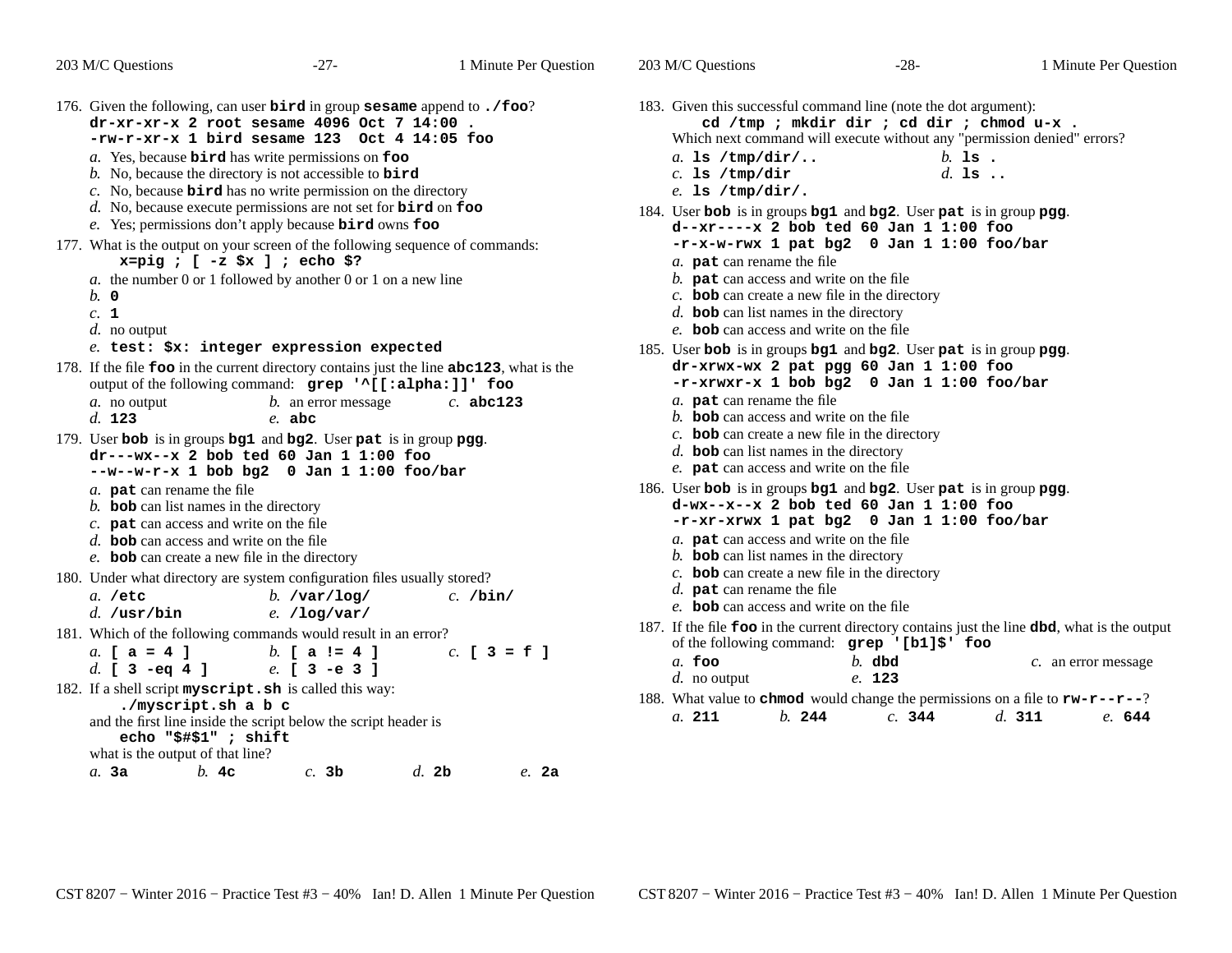| 203 M/C Questions                                                                                                                                                                                                                                                                                                                                                                                                                                                                                                                                                                                                                                                                                                                                                                                                                                                                                                                                                                                   | $-27-$                                                                                                                                                                                                                                                                                                                                                                                                                                                                                                                                                                                                                                                                                                                                                                                                                                                                                                                                                                                               | 1 Minute Per Question                                                              | 203 M/C Questions                                                                                                                                                                                                                                                                                                                                                                                                                                                                                                                                                                                                                                                                                                                                                                                                                                                                                                                                                                                                                                                                                                                                                                           | $-28-$                                                                                                                                                                                                                                                                                                                                                                                                                                                                                                            | 1 Minute Per Question                                                                                                                   |
|-----------------------------------------------------------------------------------------------------------------------------------------------------------------------------------------------------------------------------------------------------------------------------------------------------------------------------------------------------------------------------------------------------------------------------------------------------------------------------------------------------------------------------------------------------------------------------------------------------------------------------------------------------------------------------------------------------------------------------------------------------------------------------------------------------------------------------------------------------------------------------------------------------------------------------------------------------------------------------------------------------|------------------------------------------------------------------------------------------------------------------------------------------------------------------------------------------------------------------------------------------------------------------------------------------------------------------------------------------------------------------------------------------------------------------------------------------------------------------------------------------------------------------------------------------------------------------------------------------------------------------------------------------------------------------------------------------------------------------------------------------------------------------------------------------------------------------------------------------------------------------------------------------------------------------------------------------------------------------------------------------------------|------------------------------------------------------------------------------------|---------------------------------------------------------------------------------------------------------------------------------------------------------------------------------------------------------------------------------------------------------------------------------------------------------------------------------------------------------------------------------------------------------------------------------------------------------------------------------------------------------------------------------------------------------------------------------------------------------------------------------------------------------------------------------------------------------------------------------------------------------------------------------------------------------------------------------------------------------------------------------------------------------------------------------------------------------------------------------------------------------------------------------------------------------------------------------------------------------------------------------------------------------------------------------------------|-------------------------------------------------------------------------------------------------------------------------------------------------------------------------------------------------------------------------------------------------------------------------------------------------------------------------------------------------------------------------------------------------------------------------------------------------------------------------------------------------------------------|-----------------------------------------------------------------------------------------------------------------------------------------|
| 176. Given the following, can user bird in group sesame append to ./foo?<br>177. What is the output on your screen of the following sequence of commands:<br>$b. \circ$<br>c. 1<br>$d.$ no output<br>178. If the file foo in the current directory contains just the line abc123, what is the<br>a. no output<br>d. 123<br>179. User bob is in groups bg1 and bg2. User pat is in group pgg.<br>a. pat can rename the file<br>$b$ . bob can list names in the directory<br>$c$ . pat can access and write on the file<br>$d.$ bob can access and write on the file<br>e. bob can create a new file in the directory<br>180. Under what directory are system configuration files usually stored?<br>a. / etc.<br>$d.$ /usr/bin<br>181. Which of the following commands would result in an error?<br>a. $[a = 4]$<br>d. $[3 - eq 4]$<br>182. If a shell script myscript.sh is called this way:<br>./myscript.sh a b c<br>echo "\$#\$1" ; shift<br>what is the output of that line?<br>b.4c<br>$a.$ 3a | $dr - xr - xr - x$ 2 root sesame 4096 Oct 7 14:00.<br>$-rw-r-xr-x$ 1 bird sesame 123 Oct 4 14:05 foo<br>a. Yes, because bird has write permissions on foo<br>b. No, because the directory is not accessible to $\vec{b} \cdot \vec{r}$<br>$c$ . No, because <b>bird</b> has no write permission on the directory<br>$d.$ No, because execute permissions are not set for $\vec{b} \cdot \vec{r}$ on $\vec{f}$ oo<br>e. Yes; permissions don't apply because bird owns foo<br>$x = pig$ ; $[-z \, \xi x]$ ; echo $\xi$ ?<br>a. the number 0 or 1 followed by another 0 or 1 on a new line<br>e. test: \$x: integer expression expected<br>output of the following command: grep ''[[:alpha:]]' foo<br><i>b</i> . an error message<br>$e$ . abc<br>$dr$ --- $wx$ -- $x$ 2 bob ted 60 Jan 1 1:00 foo<br>$-$ w--w-r-x 1 bob bg2 0 Jan 1 1:00 foo/bar<br>$b.$ /var/log/<br>$e.$ /log/var/<br>b. $[a := 4]$<br>$e.$ [ 3 -e 3 ]<br>and the first line inside the script below the script header is<br>c. 3b | $c.$ abc123<br>$c.$ /bin/<br>$c.$ [ 3 = <b>f</b> ]<br>d.2 <sub>b</sub><br>$e$ . 2a | 183. Given this successful command line (note the dot argument):<br>a. 1s $/\text{tmp/dir}/$<br>$c.$ ls /tmp/dir<br>$e.$ ls $/\text{tmp/dir/}.$<br>184. User bob is in groups bg1 and bg2. User pat is in group pgg.<br>a. pat can rename the file<br>$b$ . pat can access and write on the file<br>$c$ . bob can create a new file in the directory<br>$d.$ bob can list names in the directory<br>e. <b>bob</b> can access and write on the file<br>185. User bob is in groups bg1 and bg2. User pat is in group pgg.<br>a. pat can rename the file<br>$b$ . bob can access and write on the file<br>$c$ . bob can create a new file in the directory<br>$d.$ bob can list names in the directory<br>e. pat can access and write on the file<br>186. User bob is in groups bg1 and bg2. User pat is in group pgg.<br>a. pat can access and write on the file<br>$b$ . bob can list names in the directory<br>$c$ . <b>bob</b> can create a new file in the directory<br>d. $pat can rename the file$<br>e. <b>bob</b> can access and write on the file<br>$a.$ foo<br>$d.$ no output<br>188. What value to chmod would change the permissions on a file to $rw-r-r-2$<br>b. 244<br>a. 211 | cd /tmp ; mkdir dir ; cd dir ; chmod u-x .<br>Which next command will execute without any "permission denied" errors?<br>$b.$ is.<br>$d.$ is $\ldots$<br>$d - x + - -x$ 2 bob ted 60 Jan 1 1:00 foo<br>$-r-x-w-rwx$ 1 pat bg2 0 Jan 1 1:00 foo/bar<br>dr-xrwx-wx 2 pat pgg 60 Jan 1 1:00 foo<br>-r-xrwxr-x 1 bob bg2 0 Jan 1 1:00 foo/bar<br>$d-wx--x-x$ 2 bob ted 60 Jan 1 1:00 foo<br>-r-xr-xrwx 1 pat bg2 0 Jan 1 1:00 foo/bar<br>of the following command: grep '[b1]\$' foo<br>$h$ . dbd<br>e. 123<br>c. 344 | 187. If the file foo in the current directory contains just the line dbd, what is the output<br>c. an error message<br>d. 311<br>e. 644 |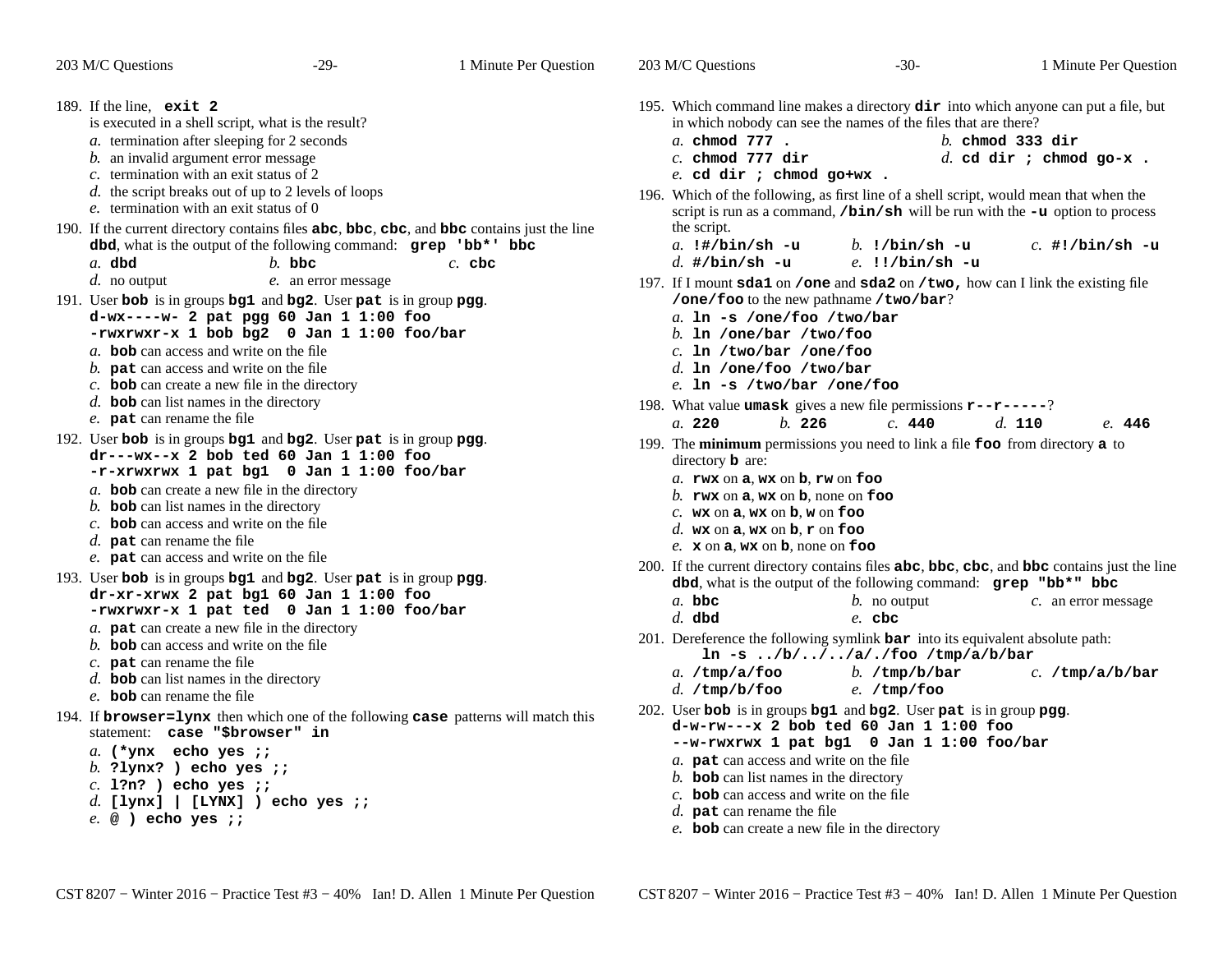| 203 M/C Questions                                                                                                                                                                                                                                                                                                               | $-29-$                                                                                                     | 1 Minute Per Question | 203 M/C Questions                                                                                                                                                                                                                                                                                                                                                                                                                                                 | $-30-$                                                                        | 1 Minute Per Question                                                                                             |  |
|---------------------------------------------------------------------------------------------------------------------------------------------------------------------------------------------------------------------------------------------------------------------------------------------------------------------------------|------------------------------------------------------------------------------------------------------------|-----------------------|-------------------------------------------------------------------------------------------------------------------------------------------------------------------------------------------------------------------------------------------------------------------------------------------------------------------------------------------------------------------------------------------------------------------------------------------------------------------|-------------------------------------------------------------------------------|-------------------------------------------------------------------------------------------------------------------|--|
| 189. If the line, $ext{2}$<br>is executed in a shell script, what is the result?<br><i>a</i> . termination after sleeping for 2 seconds<br>b. an invalid argument error message<br>$c$ . termination with an exit status of 2<br>d. the script breaks out of up to 2 levels of loops<br>e. termination with an exit status of 0 |                                                                                                            |                       | 195. Which command line makes a directory $\text{dir}$ into which anyone can put a file, but<br>in which nobody can see the names of the files that are there?<br>a. chmod 777.<br>$b.$ chmod 333 dir<br>$c.$ chmod 777 dir<br>$d.$ cd dir ; chmod go-x.<br>$e.$ cd dir ; chmod go+wx.<br>196. Which of the following, as first line of a shell script, would mean that when the<br>script is run as a command, /bin/sh will be run with the -u option to process |                                                                               |                                                                                                                   |  |
| 190. If the current directory contains files abc, bbc, cbc, and bbc contains just the line<br>$a$ . dbd                                                                                                                                                                                                                         | dbd, what is the output of the following command: grep 'bb*' bbc<br>$b.$ bbc                               | $c.$ cbc              | the script.<br>a. $!$ #/bin/sh -u<br>d. #/bin/sh $-u$                                                                                                                                                                                                                                                                                                                                                                                                             | b. $1/bin/sh$ -u<br>$e.$ !!/bin/sh -u                                         | $c.$ #!/bin/sh -u                                                                                                 |  |
| $d.$ no output<br>191. User bob is in groups bg1 and bg2. User pat is in group pgg.<br>a. bob can access and write on the file<br>$b$ . pat can access and write on the file<br>$c$ . bob can create a new file in the directory<br>$d.$ bob can list names in the directory<br>e. pat can rename the file                      | e. an error message<br>d-wx----w- 2 pat pgg 60 Jan 1 1:00 foo<br>-rwxrwxr-x 1 bob bg2 0 Jan 1 1:00 foo/bar |                       | 197. If I mount sda1 on / one and sda2 on / two, how can I link the existing file<br>/one/foo to the new pathname /two/bar?<br>a. $\ln$ -s /one/foo /two/bar<br>$b$ . 1n /one/bar /two/foo<br>$c.$ ln /two/bar /one/foo<br>$d.$ ln /one/foo /two/bar<br>e. $\ln$ -s /two/bar /one/foo<br>198. What value <b>umask</b> gives a new file permissions $\mathbf{r}$ - $\mathbf{r}$ - $\mathbf{r}$ - $\mathbf{r}$<br>b. 226<br>a. 220                                  | c. 440                                                                        | d. 110<br>e. 446                                                                                                  |  |
| 192. User bob is in groups bg1 and bg2. User pat is in group pgg.<br>$a$ . bob can create a new file in the directory<br>b. bob can list names in the directory<br>c. bob can access and write on the file<br>d. $pat$ can rename the file<br>e. <b>pat</b> can access and write on the file                                    | $dr$ --- $wx$ -- $x$ 2 bob ted 60 Jan 1 1:00 foo<br>-r-xrwxrwx 1 pat bg1 0 Jan 1 1:00 foo/bar              |                       | 199. The minimum permissions you need to link a file foo from directory a to<br>directory <b>b</b> are:<br>a. rwx on $a$ , wx on $b$ , rw on foo<br>b. rwx on $a$ , wx on $b$ , none on foo<br>c. $wx$ on a, wx on b, w on foo<br>d. wx on a, wx on b, $\mathbf r$ on foo<br>e. $x$ on $a$ , wx on $b$ , none on foo                                                                                                                                              |                                                                               |                                                                                                                   |  |
| 193. User bob is in groups bg1 and bg2. User pat is in group pgg.                                                                                                                                                                                                                                                               | $dr - xr - xrwx$ 2 pat bg1 60 Jan 1 1:00 foo<br>-rwxrwxr-x 1 pat ted 0 Jan 1 1:00 foo/bar                  |                       | dbd, what is the output of the following command: grep "bb*" bbc<br>$a.$ bbc<br>$d.$ dbd                                                                                                                                                                                                                                                                                                                                                                          | $b$ . no output<br>$e$ . cbc                                                  | 200. If the current directory contains files abc, bbc, cbc, and bbc contains just the line<br>c. an error message |  |
| a. pat can create a new file in the directory<br>$h$ . bob can access and write on the file<br>c. $pat$ can rename the file<br>$d.$ bob can list names in the directory                                                                                                                                                         |                                                                                                            |                       | 201. Dereference the following symlink bar into its equivalent absolute path:<br>a. $/\text{tmp}/\text{a}/\text{foo}$<br>$d.$ /tmp/b/foo                                                                                                                                                                                                                                                                                                                          | $\ln -s$ /b///a/./foo /tmp/a/b/bar<br>b. $/\text{tmp/b/bar}$<br>$e.$ /tmp/foo | $c.$ /tmp/a/b/bar                                                                                                 |  |
| e. <b>bob</b> can rename the file<br>194. If <b>browser=1ynx</b> then which one of the following case patterns will match this<br>statement: case "\$browser" in<br>a. $(*ynx$ echo yes ;;<br>b. ?lynx? ) echo yes $\gamma$ ;<br>$c. 1?n?$ ) echo yes $i:$<br>d. [lynx]   [LYNX] ) echo yes ;;                                  |                                                                                                            |                       | 202. User bob is in groups bg1 and bg2. User pat is in group pgg.<br>$d-w-rw---x$ 2 bob ted 60 Jan 1 1:00 foo<br>--w-rwxrwx 1 pat bg1 0 Jan 1 1:00 foo/bar<br>a. <b>pat</b> can access and write on the file<br>b. bob can list names in the directory<br>c. <b>bob</b> can access and write on the file<br>$d.$ pat can rename the file<br>e. <b>bob</b> can create a new file in the directory                                                                  |                                                                               |                                                                                                                   |  |